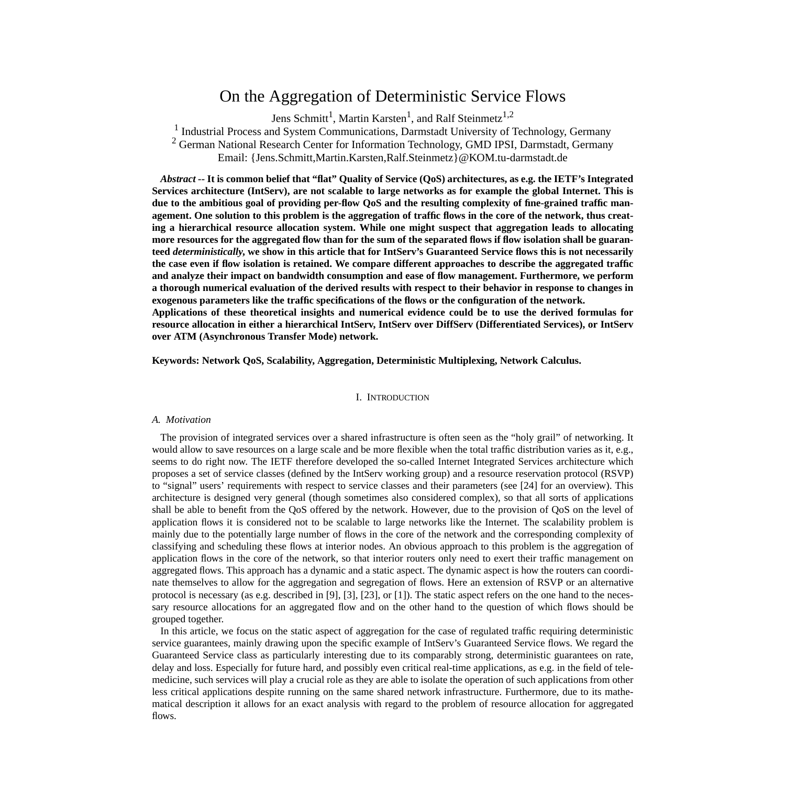# On the Aggregation of Deterministic Service Flows

Jens Schmitt<sup>1</sup>, Martin Karsten<sup>1</sup>, and Ralf Steinmetz<sup>1,2</sup>

<sup>1</sup> Industrial Process and System Communications, Darmstadt University of Technology, Germany

2 German National Research Center for Information Technology, GMD IPSI, Darmstadt, Germany

Email: {Jens.Schmitt,Martin.Karsten,Ralf.Steinmetz}@KOM.tu-darmstadt.de

*Abstract --* **It is common belief that "flat" Quality of Service (QoS) architectures, as e.g. the IETF's Integrated Services architecture (IntServ), are not scalable to large networks as for example the global Internet. This is due to the ambitious goal of providing per-flow QoS and the resulting complexity of fine-grained traffic management. One solution to this problem is the aggregation of traffic flows in the core of the network, thus creating a hierarchical resource allocation system. While one might suspect that aggregation leads to allocating more resources for the aggregated flow than for the sum of the separated flows if flow isolation shall be guaranteed** *deterministically***, we show in this article that for IntServ's Guaranteed Service flows this is not necessarily the case even if flow isolation is retained. We compare different approaches to describe the aggregated traffic and analyze their impact on bandwidth consumption and ease of flow management. Furthermore, we perform a thorough numerical evaluation of the derived results with respect to their behavior in response to changes in exogenous parameters like the traffic specifications of the flows or the configuration of the network. Applications of these theoretical insights and numerical evidence could be to use the derived formulas for resource allocation in either a hierarchical IntServ, IntServ over DiffServ (Differentiated Services), or IntServ over ATM (Asynchronous Transfer Mode) network.**

**Keywords: Network QoS, Scalability, Aggregation, Deterministic Multiplexing, Network Calculus.**

## I. INTRODUCTION

## *A. Motivation*

The provision of integrated services over a shared infrastructure is often seen as the "holy grail" of networking. It would allow to save resources on a large scale and be more flexible when the total traffic distribution varies as it, e.g., seems to do right now. The IETF therefore developed the so-called Internet Integrated Services architecture which proposes a set of service classes (defined by the IntServ working group) and a resource reservation protocol (RSVP) to "signal" users' requirements with respect to service classes and their parameters (see [24] for an overview). This architecture is designed very general (though sometimes also considered complex), so that all sorts of applications shall be able to benefit from the QoS offered by the network. However, due to the provision of QoS on the level of application flows it is considered not to be scalable to large networks like the Internet. The scalability problem is mainly due to the potentially large number of flows in the core of the network and the corresponding complexity of classifying and scheduling these flows at interior nodes. An obvious approach to this problem is the aggregation of application flows in the core of the network, so that interior routers only need to exert their traffic management on aggregated flows. This approach has a dynamic and a static aspect. The dynamic aspect is how the routers can coordinate themselves to allow for the aggregation and segregation of flows. Here an extension of RSVP or an alternative protocol is necessary (as e.g. described in [9], [3], [23], or [1]). The static aspect refers on the one hand to the necessary resource allocations for an aggregated flow and on the other hand to the question of which flows should be grouped together.

In this article, we focus on the static aspect of aggregation for the case of regulated traffic requiring deterministic service guarantees, mainly drawing upon the specific example of IntServ's Guaranteed Service flows. We regard the Guaranteed Service class as particularly interesting due to its comparably strong, deterministic guarantees on rate, delay and loss. Especially for future hard, and possibly even critical real-time applications, as e.g. in the field of telemedicine, such services will play a crucial role as they are able to isolate the operation of such applications from other less critical applications despite running on the same shared network infrastructure. Furthermore, due to its mathematical description it allows for an exact analysis with regard to the problem of resource allocation for aggregated flows.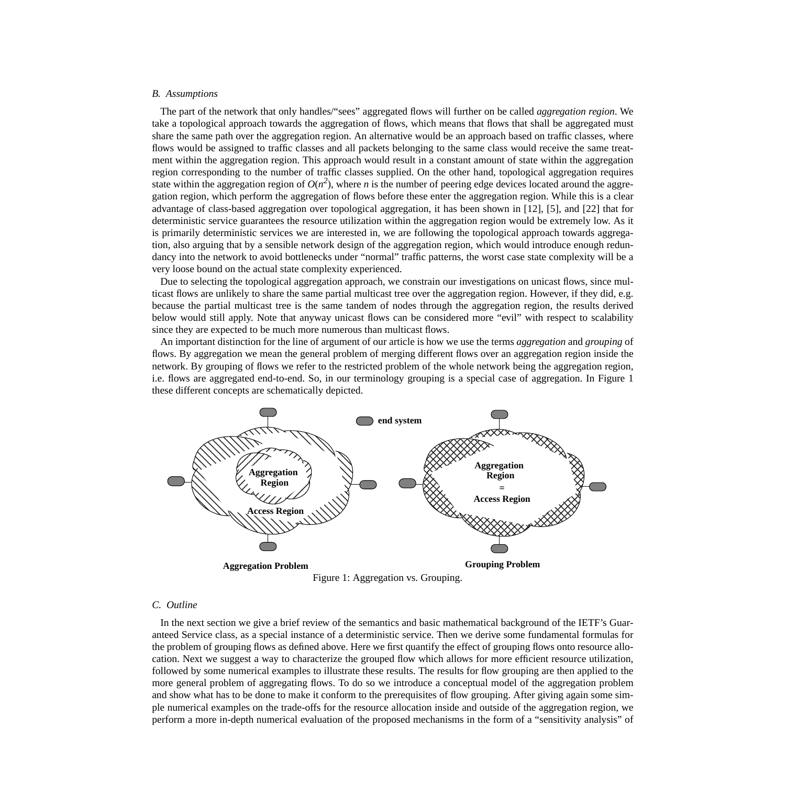#### *B. Assumptions*

The part of the network that only handles/"sees" aggregated flows will further on be called *aggregation region*. We take a topological approach towards the aggregation of flows, which means that flows that shall be aggregated must share the same path over the aggregation region. An alternative would be an approach based on traffic classes, where flows would be assigned to traffic classes and all packets belonging to the same class would receive the same treatment within the aggregation region. This approach would result in a constant amount of state within the aggregation region corresponding to the number of traffic classes supplied. On the other hand, topological aggregation requires state within the aggregation region of  $O(n^2)$ , where *n* is the number of peering edge devices located around the aggregation region, which perform the aggregation of flows before these enter the aggregation region. While this is a clear advantage of class-based aggregation over topological aggregation, it has been shown in [12], [5], and [22] that for deterministic service guarantees the resource utilization within the aggregation region would be extremely low. As it is primarily deterministic services we are interested in, we are following the topological approach towards aggregation, also arguing that by a sensible network design of the aggregation region, which would introduce enough redundancy into the network to avoid bottlenecks under "normal" traffic patterns, the worst case state complexity will be a very loose bound on the actual state complexity experienced.

Due to selecting the topological aggregation approach, we constrain our investigations on unicast flows, since multicast flows are unlikely to share the same partial multicast tree over the aggregation region. However, if they did, e.g. because the partial multicast tree is the same tandem of nodes through the aggregation region, the results derived below would still apply. Note that anyway unicast flows can be considered more "evil" with respect to scalability since they are expected to be much more numerous than multicast flows.

An important distinction for the line of argument of our article is how we use the terms *aggregation* and *grouping* of flows. By aggregation we mean the general problem of merging different flows over an aggregation region inside the network. By grouping of flows we refer to the restricted problem of the whole network being the aggregation region, i.e. flows are aggregated end-to-end. So, in our terminology grouping is a special case of aggregation. In Figure 1 these different concepts are schematically depicted.



Figure 1: Aggregation vs. Grouping.

## *C. Outline*

In the next section we give a brief review of the semantics and basic mathematical background of the IETF's Guaranteed Service class, as a special instance of a deterministic service. Then we derive some fundamental formulas for the problem of grouping flows as defined above. Here we first quantify the effect of grouping flows onto resource allocation. Next we suggest a way to characterize the grouped flow which allows for more efficient resource utilization, followed by some numerical examples to illustrate these results. The results for flow grouping are then applied to the more general problem of aggregating flows. To do so we introduce a conceptual model of the aggregation problem and show what has to be done to make it conform to the prerequisites of flow grouping. After giving again some simple numerical examples on the trade-offs for the resource allocation inside and outside of the aggregation region, we perform a more in-depth numerical evaluation of the proposed mechanisms in the form of a "sensitivity analysis" of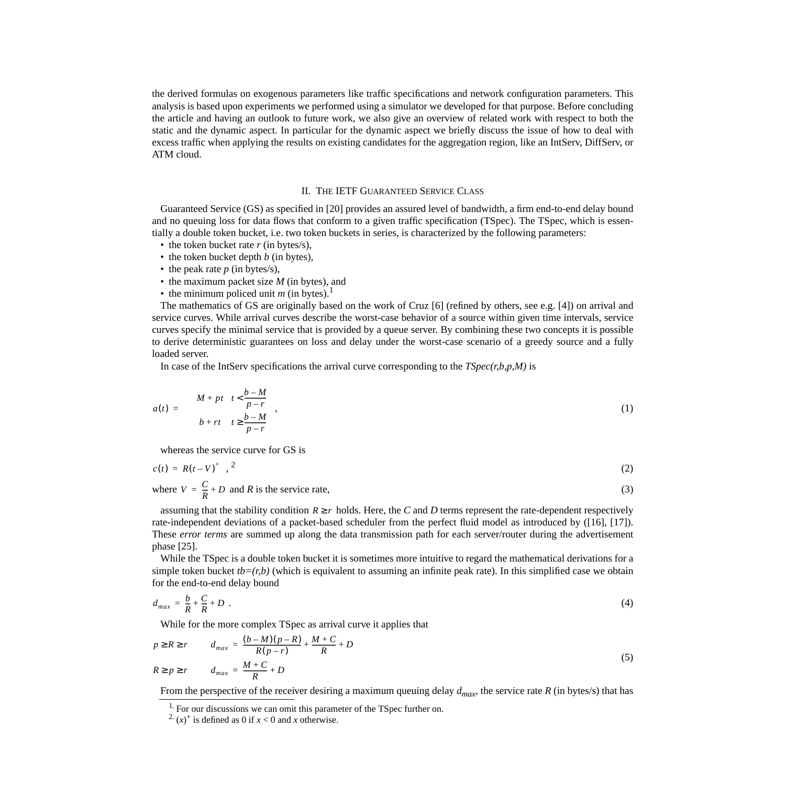<span id="page-2-0"></span>the derived formulas on exogenous parameters like traffic specifications and network configuration parameters. This analysis is based upon experiments we performed using a simulator we developed for that purpose. Before concluding the article and having an outlook to future work, we also give an overview of related work with respect to both the static and the dynamic aspect. In particular for the dynamic aspect we briefly discuss the issue of how to deal with excess traffic when applying the results on existing candidates for the aggregation region, like an IntServ, DiffServ, or ATM cloud.

## II. THE IETF GUARANTEED SERVICE CLASS

Guaranteed Service (GS) as specified in [20] provides an assured level of bandwidth, a firm end-to-end delay bound and no queuing loss for data flows that conform to a given traffic specification (TSpec). The TSpec, which is essentially a double token bucket, i.e. two token buckets in series, is characterized by the following parameters:

- the token bucket rate *r* (in bytes/s),
- the token bucket depth *b* (in bytes),
- the peak rate  $p$  (in bytes/s),
- the maximum packet size *M* (in bytes), and
- the minimum policed unit  $m$  (in bytes).<sup>1</sup>

The mathematics of GS are originally based on the work of Cruz [6] (refined by others, see e.g. [4]) on arrival and service curves. While arrival curves describe the worst-case behavior of a source within given time intervals, service curves specify the minimal service that is provided by a queue server. By combining these two concepts it is possible to derive deterministic guarantees on loss and delay under the worst-case scenario of a greedy source and a fully loaded server.

In case of the IntServ specifications the arrival curve corresponding to the *TSpec(r,b,p,M)* is

$$
a(t) = \begin{cases} M + pt & t < \frac{b-M}{p-r} \\ b + rt & t \ge \frac{b-M}{p-r} \end{cases}
$$
 (1)

whereas the service curve for GS is

$$
c(t) = R(t-V)^{+} ,2
$$
 (2)

where  $V = \frac{C}{R} + D$  and *R* is the service rate, (3)

assuming that the stability condition  $R \ge r$  holds. Here, the *C* and *D* terms represent the rate-dependent respectively rate-independent deviations of a packet-based scheduler from the perfect fluid model as introduced by ([16], [17]). These *error terms* are summed up along the data transmission path for each server/router during the advertisement phase [25].

While the TSpec is a double token bucket it is sometimes more intuitive to regard the mathematical derivations for a simple token bucket  $t = (r, b)$  (which is equivalent to assuming an infinite peak rate). In this simplified case we obtain for the end-to-end delay bound

$$
d_{max} = \frac{b}{R} + \frac{C}{R} + D \tag{4}
$$

While for the more complex TSpec as arrival curve it applies that

$$
p \ge R \ge r \qquad d_{max} = \frac{(b-M)(p-R)}{R(p-r)} + \frac{M+C}{R} + D
$$
  

$$
R \ge p \ge r \qquad d_{max} = \frac{M+C}{R} + D
$$
 (5)

From the perspective of the receiver desiring a maximum queuing delay  $d_{max}$ , the service rate  $R$  (in bytes/s) that has

<sup>&</sup>lt;sup>1.</sup> For our discussions we can omit this parameter of the TSpec further on.

<sup>&</sup>lt;sup>2</sup> $(x)^+$  is defined as 0 if  $x < 0$  and *x* otherwise.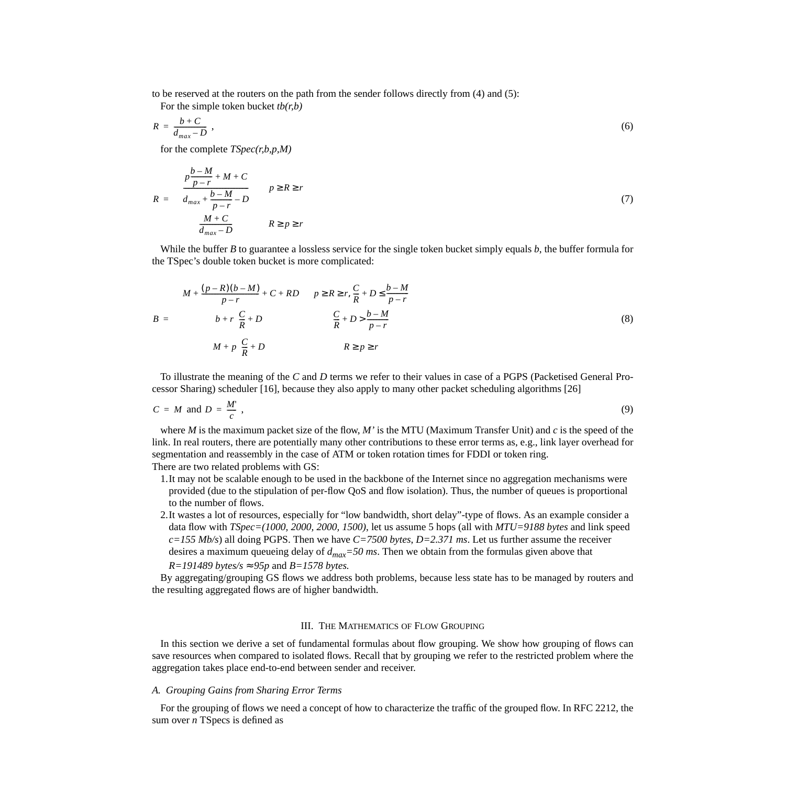to be reserved at the routers on the path from the sender follows directly from (4) [and](#page-2-0) (5):

For the simple token bucket *tb(r,b)*

$$
R = \frac{b+C}{d_{max}-D} \tag{6}
$$

for the complete *TSpec(r,b,p,M)*

 $\mathsf{r}$ 

$$
R = \begin{cases} \frac{p\frac{b-M}{p-r} + M + C}{\frac{b-M}{p-r} - D} & p \ge R \ge r \\ \frac{M+C}{d_{max} - D} & R \ge p \ge r \end{cases} \tag{7}
$$

While the buffer *B* to guarantee a lossless service for the single token bucket simply equals *b*, the buffer formula for the TSpec's double token bucket is more complicated:

$$
B = \begin{cases} M + \frac{(p - R)(b - M)}{p - r} + C + RD & p \ge R \ge r, \frac{C}{R} + D \le \frac{b - M}{p - r} \\ b + r\left(\frac{C}{R} + D\right) & \frac{C}{R} + D > \frac{b - M}{p - r} \\ M + p\left(\frac{C}{R} + D\right) & R \ge p \ge r \end{cases} \tag{8}
$$

To illustrate the meaning of the *C* and *D* terms we refer to their values in case of a PGPS (Packetised General Processor Sharing) scheduler [16], because they also apply to many other packet scheduling algorithms [26]

$$
C = M \text{ and } D = \frac{M'}{c} \tag{9}
$$

where *M* is the maximum packet size of the flow, *M'* is the MTU (Maximum Transfer Unit) and *c* is the speed of the link. In real routers, there are potentially many other contributions to these error terms as, e.g., link layer overhead for segmentation and reassembly in the case of ATM or token rotation times for FDDI or token ring. There are two related problems with GS:

1.It may not be scalable enough to be used in the backbone of the Internet since no aggregation mechanisms were provided (due to the stipulation of per-flow QoS and flow isolation). Thus, the number of queues is proportional to the number of flows.

2.It wastes a lot of resources, especially for "low bandwidth, short delay"-type of flows. As an example consider a data flow with *TSpec=(1000, 2000, 2000, 1500)*, let us assume 5 hops (all with *MTU=9188 bytes* and link speed *c=155 Mb/s*) all doing PGPS. Then we have *C=7500 bytes*, *D=2.371 ms*. Let us further assume the receiver desires a maximum queueing delay of *dmax=50 ms*. Then we obtain from the formulas given above that *R=191489 bytes/s* ≈ *95p* and *B=1578 bytes.*

By aggregating/grouping GS flows we address both problems, because less state has to be managed by routers and the resulting aggregated flows are of higher bandwidth.

#### III. THE MATHEMATICS OF FLOW GROUPING

In this section we derive a set of fundamental formulas about flow grouping. We show how grouping of flows can save resources when compared to isolated flows. Recall that by grouping we refer to the restricted problem where the aggregation takes place end-to-end between sender and receiver.

## *A. Grouping Gains from Sharing Error Terms*

For the grouping of flows we need a concept of how to characterize the traffic of the grouped flow. In RFC 2212, the sum over *n* TSpecs is defined as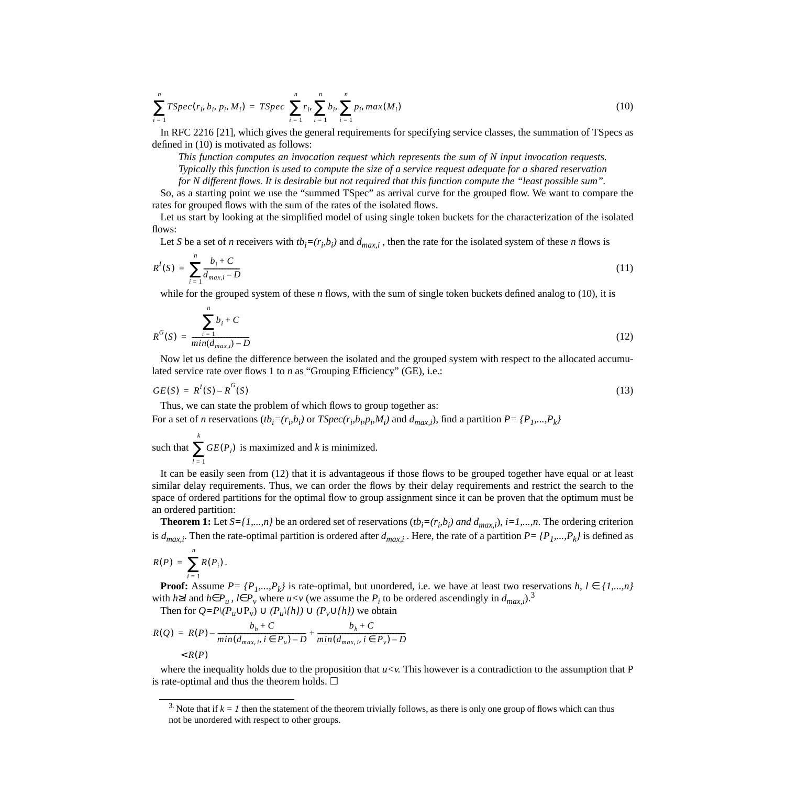$$
\sum_{i=1}^{n} TSpec(r_i, b_i, p_i, M_i) = TSpec \left( \sum_{i=1}^{n} r_i, \sum_{i=1}^{n} b_i, \sum_{i=1}^{n} p_i, max(M_i) \right)
$$
(10)

In RFC 2216 [21], which gives the general requirements for specifying service classes, the summation of TSpecs as defined in (10) is motivated as follows:

*This function computes an invocation request which represents the sum of N input invocation requests. Typically this function is used to compute the size of a service request adequate for a shared reservation for N different flows. It is desirable but not required that this function compute the "least possible sum".*

So, as a starting point we use the "summed TSpec" as arrival curve for the grouped flow. We want to compare the rates for grouped flows with the sum of the rates of the isolated flows.

Let us start by looking at the simplified model of using single token buckets for the characterization of the isolated flows:

Let *S* be a set of *n* receivers with  $tb_i = (r_i, b_i)$  and  $d_{max,i}$ , then the rate for the isolated system of these *n* flows is

$$
R^{I}(S) = \sum_{i=1}^{n} \frac{b_{i} + C}{d_{max,i} - D}
$$
\n(11)

while for the grouped system of these *n* flows, with the sum of single token buckets defined analog to (10), it is

$$
R^{G}(S) = \frac{\sum_{i=1}^{n} b_{i} + C}{\min(d_{\max,i}) - D}
$$
 (12)

Now let us define the difference between the isolated and the grouped system with respect to the allocated accumulated service rate over flows 1 to *n* as "Grouping Efficiency" (GE), i.e.:

$$
GE(S) = RI(S) - RG(S)
$$
\n(13)

Thus, we can state the problem of which flows to group together as:

For a set of *n* reservations  $(tb_i=(r_i, b_i)$  or  $TSpec(r_i, b_i, p_i, M_i)$  and  $d_{max,i}$ , find a partition  $P=\{P_1,...,P_k\}$ 

such that  $\sum G E(P_i)$  is maximized and *k* is minimized. *l* = 1 *k* ∑

It can be easily seen from (12) that it is advantageous if those flows to be grouped together have equal or at least similar delay requirements. Thus, we can order the flows by their delay requirements and restrict the search to the space of ordered partitions for the optimal flow to group assignment since it can be proven that the optimum must be an ordered partition:

**Theorem 1:** Let  $S = \{1,...,n\}$  be an ordered set of reservations  $(tb_i = (r_i, b_i)$  and  $d_{max,i}$ ,  $i = 1,...,n$ . The ordering criterion is  $d_{max,i}$ . Then the rate-optimal partition is ordered after  $d_{max,i}$ . Here, the rate of a partition  $P = \{P_1,...,P_k\}$  is defined as

$$
R(P) = \sum_{i=1}^n R(P_i).
$$

**Proof:** Assume  $P = \{P_1, ..., P_k\}$  is rate-optimal, but unordered, i.e. we have at least two reservations  $h, l \in \{1, ..., n\}$ with *h*≥*l* and *h*∈*P<sub>u</sub>*, *l*∈*P*<sub>v</sub> where *u*<*v* (we assume the *P<sub>i</sub>* to be ordered ascendingly in  $d_{max,i}$ ).<sup>3</sup> Then for  $Q = P \langle (P_u \cup P_v) \cup (P_u \setminus \{h\}) \cup (P_v \cup \{h\})$  we obtain

$$
R(Q) = R(P) - \frac{b_h + C}{\min(d_{\max, i}, i \in P_u) - D} + \frac{b_h + C}{\min(d_{\max, i}, i \in P_v) - D}
$$
  
< 
$$
< R(P)
$$

where the inequality holds due to the proposition that  $u < v$ . This however is a contradiction to the assumption that P is rate-optimal and thus the theorem holds.  $\Box$ 

<sup>&</sup>lt;sup>3.</sup> Note that if  $k = 1$  then the statement of the theorem trivially follows, as there is only one group of flows which can thus not be unordered with respect to other groups.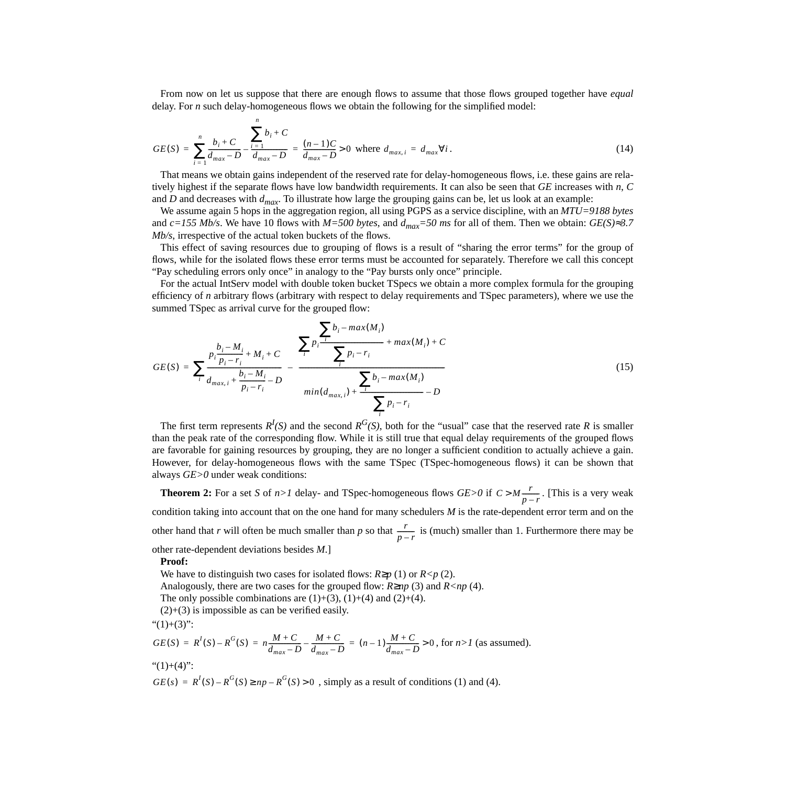From now on let us suppose that there are enough flows to assume that those flows grouped together have *equal* delay. For *n* such delay-homogeneous flows we obtain the following for the simplified model:

$$
GE(S) = \sum_{i=1}^{n} \frac{b_i + C}{d_{max} - D} - \frac{\sum_{i=1}^{n} b_i + C}{d_{max} - D} = \frac{(n-1)C}{d_{max} - D} > 0 \text{ where } d_{max, i} = d_{max} \forall i.
$$
 (14)

That means we obtain gains independent of the reserved rate for delay-homogeneous flows, i.e. these gains are relatively highest if the separate flows have low bandwidth requirements. It can also be seen that *GE* increases with *n*, *C* and *D* and decreases with  $d_{max}$ . To illustrate how large the grouping gains can be, let us look at an example:

We assume again 5 hops in the aggregation region, all using PGPS as a service discipline, with an *MTU=9188 bytes* and  $c=155$  Mb/s. We have 10 flows with  $M=500$  bytes, and  $d_{max}=50$  ms for all of them. Then we obtain:  $GE(S) \approx 3.7$ *Mb/s*, irrespective of the actual token buckets of the flows.

This effect of saving resources due to grouping of flows is a result of "sharing the error terms" for the group of flows, while for the isolated flows these error terms must be accounted for separately. Therefore we call this concept "Pay scheduling errors only once" in analogy to the "Pay bursts only once" principle.

For the actual IntServ model with double token bucket TSpecs we obtain a more complex formula for the grouping efficiency of *n* arbitrary flows (arbitrary with respect to delay requirements and TSpec parameters), where we use the summed TSpec as arrival curve for the grouped flow:

$$
GE(S) = \sum_{i} \frac{p_i - M_i}{d_{max,i} + \frac{b_i - M_i}{p_i - r_i} - D} - \frac{\sum_{i} p_i \frac{\sum_{i} b_i - max(M_i)}{\sum_{i} p_i - r_i} + max(M_i) + C}{\frac{\sum_{i} p_i - max(M_i)}{\sum_{i} b_i - max(M_i)} - D}
$$
(15)

The first term represents  $R^I(S)$  and the second  $R^G(S)$ , both for the "usual" case that the reserved rate R is smaller than the peak rate of the corresponding flow. While it is still true that equal delay requirements of the grouped flows are favorable for gaining resources by grouping, they are no longer a sufficient condition to actually achieve a gain. However, for delay-homogeneous flows with the same TSpec (TSpec-homogeneous flows) it can be shown that always *GE>0* under weak conditions:

**Theorem 2:** For a set *S* of *n*>*1* delay- and TSpec-homogeneous flows *GE*>*0* if  $C > M \frac{r}{p-r}$ . [This is a very weak condition taking into account that on the one hand for many schedulers *M* is the rate-dependent error term and on the other hand that *r* will often be much smaller than *p* so that  $\frac{r}{p-r}$  is (much) smaller than 1. Furthermore there may be other rate-dependent deviations besides *M*.]

#### **Proof:**

We have to distinguish two cases for isolated flows:  $R \geq p(1)$  or  $R \leq p(2)$ .

Analogously, there are two cases for the grouped flow: *R*≥*np* (3) and *R<np* (4).

The only possible combinations are  $(1)+(3)$ ,  $(1)+(4)$  and  $(2)+(4)$ .

 $(2)+(3)$  is impossible as can be verified easily.

$$
"(1)+(3)":
$$

$$
GE(S) = RI(S) - RG(S) = n\frac{M+C}{d_{max}-D} - \frac{M+C}{d_{max}-D} = (n-1)\frac{M+C}{d_{max}-D} > 0, \text{ for } n > 1 \text{ (as assumed)}.
$$

$$
"(1)+(4)":
$$

 $GE(s) = R^{I}(S) - R^{G}(S) \geq np - R^{G}(S) > 0$ , simply as a result of conditions (1) and (4).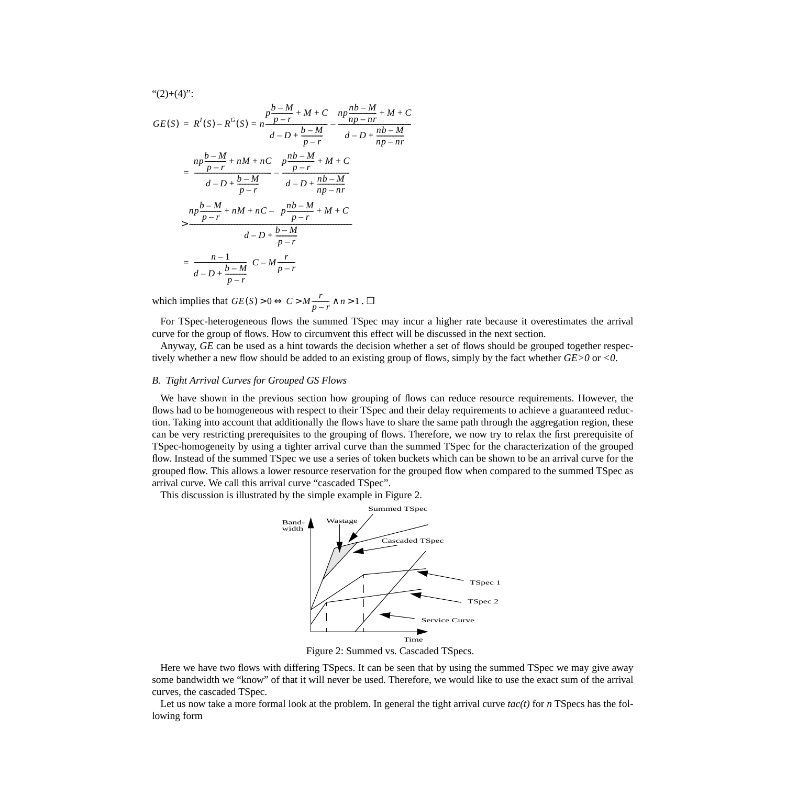$"(2)+(4)"$ :

$$
GE(S) = R^{I}(S) - R^{G}(S) = n\frac{p\frac{b-m}{p-r} + M + C}{d-D + \frac{b-M}{p-r}} - \frac{np\frac{nb-m}{np-nr} + M + C}{d-D + \frac{nb-M}{np-nr}}
$$

$$
= \frac{np\frac{b-M}{p-r} + nM + nC}{d-D + \frac{b-M}{p-r}} - \frac{p\frac{nb-M}{p-r} + M + C}{d-D + \frac{nb-M}{np-nr}}
$$

$$
np\frac{b-M}{p-r} + nM + nC - \left(p\frac{nb-M}{p-r} + M + C\right)
$$

$$
= \frac{n-1}{d-D + \frac{b-M}{p-r}} \left(C - M\frac{r}{p-r}\right)
$$

*b M*–

which implies that  $GE(S) > 0 \Leftrightarrow C > M \frac{r}{p-r} \wedge n > 1$ .

For TSpec-heterogeneous flows the summed TSpec may incur a higher rate because it overestimates the arrival curve for the group of flows. How to circumvent this effect will be discussed in the next section.

*nb M*–

Anyway, *GE* can be used as a hint towards the decision whether a set of flows should be grouped together respectively whether a new flow should be added to an existing group of flows, simply by the fact whether *GE>0* or *<0*.

#### *B. Tight Arrival Curves for Grouped GS Flows*

We have shown in the previous section how grouping of flows can reduce resource requirements. However, the flows had to be homogeneous with respect to their TSpec and their delay requirements to achieve a guaranteed reduction. Taking into account that additionally the flows have to share the same path through the aggregation region, these can be very restricting prerequisites to the grouping of flows. Therefore, we now try to relax the first prerequisite of TSpec-homogeneity by using a tighter arrival curve than the summed TSpec for the characterization of the grouped flow. Instead of the summed TSpec we use a series of token buckets which can be shown to be an arrival curve for the grouped flow. This allows a lower resource reservation for the grouped flow when compared to the summed TSpec as arrival curve. We call this arrival curve "cascaded TSpec".

This discussion is illustrated by the simple example in Figure 2.



Figure 2: Summed vs. Cascaded TSpecs.

Here we have two flows with differing TSpecs. It can be seen that by using the summed TSpec we may give away some bandwidth we "know" of that it will never be used. Therefore, we would like to use the exact sum of the arrival curves, the cascaded TSpec.

Let us now take a more formal look at the problem. In general the tight arrival curve *tac(t)* for *n* TSpecs has the following form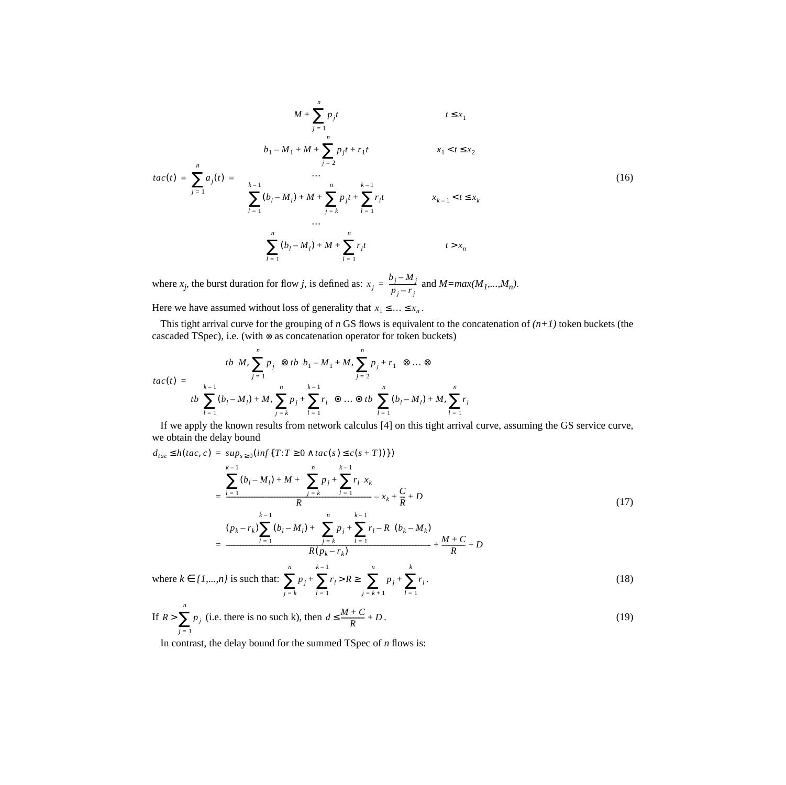<span id="page-7-0"></span>
$$
M + \sum_{j=1}^{n} p_j t \qquad t \le x_1
$$
  
\n
$$
tac(t) = \sum_{j=1}^{n} a_j(t) = \begin{cases} \sum_{k=1}^{n} b_1 - M_1 + M + \sum_{j=2}^{n} p_j t + r_1 t & x_1 < t \le x_2 \\ \cdots & \cdots \\ \sum_{l=1}^{n} (b_l - M_l) + M + \sum_{j=k}^{n} p_j t + \sum_{l=1}^{k-1} r_l t & x_{k-1} < t \le x_k \\ \cdots & \cdots \\ \sum_{l=1}^{n} (b_l - M_l) + M + \sum_{l=1}^{n} r_l t & t > x_n \end{cases}
$$
(16)

where  $x_j$ , the burst duration for flow *j*, is defined as:  $x_j = \frac{b_j - M_j}{p_j - r_j}$  and  $M = max(M_1,...,M_n)$ .

Here we have assumed without loss of generality that  $x_1 \leq ... \leq x_n$ .

This tight arrival curve for the grouping of *n* GS flows is equivalent to the concatenation of  $(n+1)$  token buckets (the cascaded TSpec), i.e. (with ⊗ as concatenation operator for token buckets)

$$
tb\left(M, \sum_{j=1}^{n} p_j\right) \otimes tb\left(b_1 - M_1 + M, \sum_{j=2}^{n} p_j + r_1\right) \otimes \dots \otimes
$$
  

$$
tb\left(\sum_{l=1}^{k-1} (b_l - M_l) + M, \sum_{j=k}^{n} p_j + \sum_{l=1}^{k-1} r_l\right) \otimes \dots \otimes tb\left(\sum_{l=1}^{n} (b_l - M_l) + M, \sum_{l=1}^{n} r_l\right)
$$

If we apply the known results from network calculus [4] on this tight arrival curve, assuming the GS service curve, we obtain the delay bound

$$
d_{tac} \leq h(tac, c) = \sup_{s \geq 0} \{ \inf \{ T : T \geq 0 \land tac(s) \leq c(s + T) \} \}
$$
  
\n
$$
= \frac{\sum_{l=1}^{k-1} (b_l - M_l) + M + \left( \sum_{j=k}^{n} p_j + \sum_{l=1}^{k-1} r_l \right) x_k}{R} - x_k + \frac{C}{R} + D
$$
  
\n
$$
= \frac{(p_k - r_k) \sum_{l=1}^{k-1} (b_l - M_l) + \left( \sum_{j=k}^{n} p_j + \sum_{l=1}^{k-1} r_l - R \right) (b_k - M_k)}{R(p_k - r_k)} + \frac{M + C}{R} + D
$$
  
\n(17)

where  $k \in \{1,...,n\}$  is such that:  $\sum p_j + \sum r_l > R \ge \sum p_j + \sum r_l$ . (18) *l* = 1  $\sum_{j=k} p_j + \sum_{l=1}$  $\sum_{j=k} p_j + \sum_{l=1} r_l > R \ge \sum_{j=k+1} p_j + \sum_{l=1} r_l$  $\sum_{j=k+1} p_j + \sum_{l=1}$  $> R \geq \sum$ 

If 
$$
R > \sum_{j=1}^{n} p_j
$$
 (i.e. there is no such k), then  $d \le \frac{M+C}{R} + D$ . (19)

In contrast, the delay bound for the summed TSpec of *n* flows is: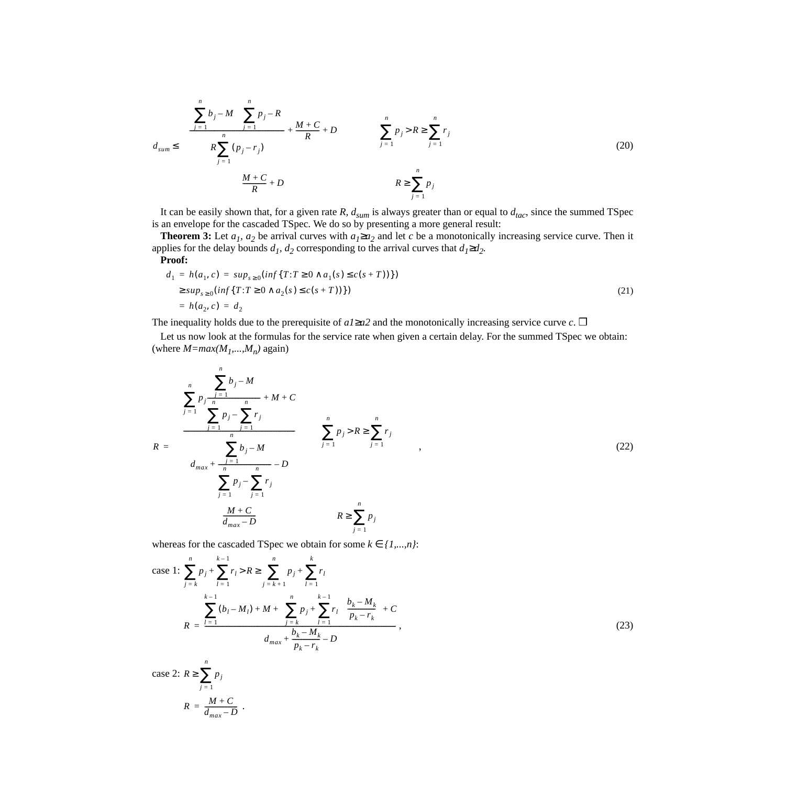<span id="page-8-0"></span>
$$
d_{sum} \leq \left\{ \frac{\left(\sum_{j=1}^{n} b_{j} - M\right)\left(\sum_{j=1}^{n} p_{j} - R\right)}{\left(R\sum_{j=1}^{n} (p_{j} - r_{j})\right)} + \frac{M + C}{R} + D \right\} \sum_{j=1}^{n} p_{j} > R \geq \sum_{j=1}^{n} r_{j}
$$
\n
$$
\frac{M + C}{R} + D \qquad R \geq \sum_{j=1}^{n} p_{j}
$$
\n(20)

It can be easily shown that, for a given rate  $R$ ,  $d_{sum}$  is always greater than or equal to  $d_{tar}$ , since the summed TSpec is an envelope for the cascaded TSpec. We do so by presenting a more general result:

**Theorem 3:** Let  $a_1$ ,  $a_2$  be arrival curves with  $a_1 \ge a_2$  and let *c* be a monotonically increasing service curve. Then it applies for the delay bounds  $d_1$ ,  $d_2$  corresponding to the arrival curves that  $d_1 \geq d_2$ . **Proof:**

$$
d_1 = h(a_1, c) = \sup_{s \ge 0} (\inf \{ T : T \ge 0 \land a_1(s) \le c(s + T) ) \})
$$
  
\n
$$
\ge \sup_{s \ge 0} (\inf \{ T : T \ge 0 \land a_2(s) \le c(s + T) ) \})
$$
  
\n
$$
= h(a_2, c) = d_2
$$
\n(21)

The inequality holds due to the prerequisite of  $aI \ge a2$  and the monotonically increasing service curve  $c$ .  $\Box$ 

Let us now look at the formulas for the service rate when given a certain delay. For the summed TSpec we obtain: (where  $M = max(M_1,...,M_n)$  again)

$$
R = \begin{cases}\n\sum_{j=1}^{n} b_{j} - M \\
\sum_{j=1}^{n} p_{j} - \sum_{j=1}^{n} r_{j} \\
\frac{\sum_{j=1}^{n} p_{j} - \sum_{j=1}^{n} r_{j}}{\sum_{j=1}^{n} b_{j} - M} \\
\frac{d_{max} + \frac{i}{n} - 1}{\sum_{j=1}^{n} p_{j} - \sum_{j=1}^{n} r_{j}} - D \\
\frac{M + C}{d_{max} - D} & R \ge \sum_{j=1}^{n} p_{j}\n\end{cases}
$$
\n(22)

whereas for the cascaded TSpec we obtain for some  $k \in \{1,...,n\}$ :

case 1: 
$$
\sum_{j=k}^{n} p_j + \sum_{l=1}^{k-1} r_l > R \ge \sum_{j=k+1}^{n} p_j + \sum_{l=1}^{k} r_l
$$

$$
R = \frac{\sum_{l=1}^{k-1} (b_l - M_l) + M + \left(\sum_{j=k}^{n} p_j + \sum_{l=1}^{k-1} r_l\right) \left(\frac{b_k - M_k}{p_k - r_k}\right) + C}{d_{max} + \frac{b_k - M_k}{p_k - r_k} - D},
$$
(23)

case 2: 
$$
R \ge \sum_{j=1}^{n} p_j
$$
  

$$
R = \frac{M + C}{d_{max} - D}
$$
.

 $\sqrt{ }$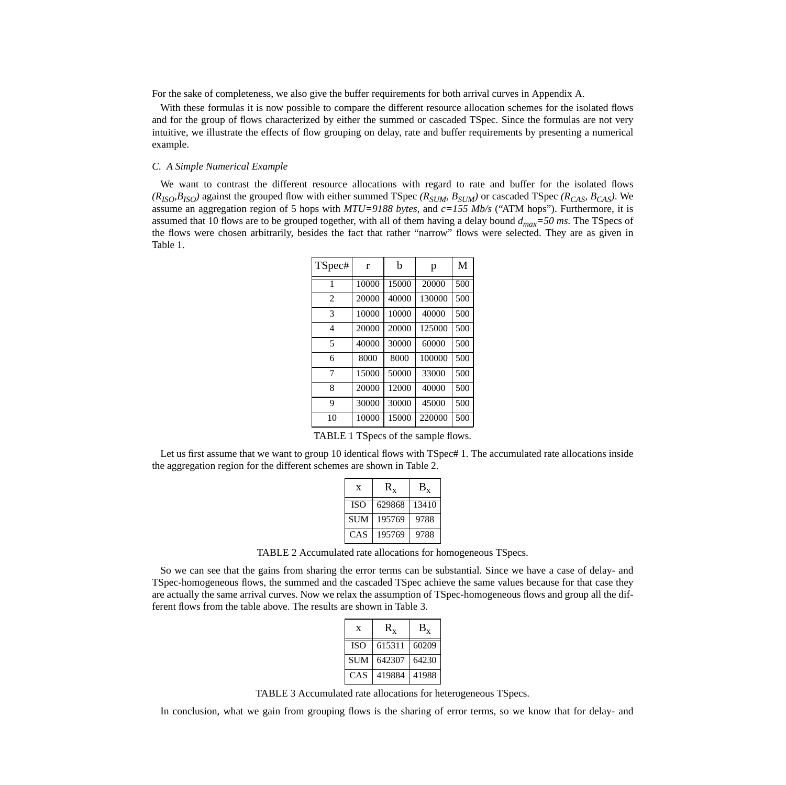<span id="page-9-0"></span>For the sake of completeness, we also give the buffer requirements for both arrival curves in Appendix A.

With these formulas it is now possible to compare the different resource allocation schemes for the isolated flows and for the group of flows characterized by either the summed or cascaded TSpec. Since the formulas are not very intuitive, we illustrate the effects of flow grouping on delay, rate and buffer requirements by presenting a numerical example.

## *C. A Simple Numerical Example*

We want to contrast the different resource allocations with regard to rate and buffer for the isolated flows  $(R_{ISO}, B_{ISO})$  against the grouped flow with either summed TSpec  $(R_{SUM}, B_{SUM})$  or cascaded TSpec  $(R_{CAS}, B_{CAS})$ . We assume an aggregation region of 5 hops with *MTU=9188 bytes,* and *c=155 Mb/s* ("ATM hops"). Furthermore, it is assumed that 10 flows are to be grouped together, with all of them having a delay bound  $d_{max}=50$  ms. The TSpecs of the flows were chosen arbitrarily, besides the fact that rather "narrow" flows were selected. They are as given in Table 1.

| TSpec#         | r     | h     | p      | M   |
|----------------|-------|-------|--------|-----|
| 1              | 10000 | 15000 | 20000  | 500 |
| $\mathfrak{D}$ | 20000 | 40000 | 130000 | 500 |
| 3              | 10000 | 10000 | 40000  | 500 |
| $\overline{4}$ | 20000 | 20000 | 125000 | 500 |
| 5              | 40000 | 30000 | 60000  | 500 |
| 6              | 8000  | 8000  | 100000 | 500 |
| 7              | 15000 | 50000 | 33000  | 500 |
| 8              | 20000 | 12000 | 40000  | 500 |
| 9              | 30000 | 30000 | 45000  | 500 |
| 10             | 10000 | 15000 | 220000 | 500 |

TABLE 1 TSpecs of the sample flows.

Let us first assume that we want to group 10 identical flows with TSpec# 1. The accumulated rate allocations inside the aggregation region for the different schemes are shown in Table 2.

| X          | R.     | $\mathbf{B}$ |
|------------|--------|--------------|
| <b>ISO</b> | 629868 | 13410        |
| <b>SUM</b> | 195769 | 9788         |
| CAS        | 195769 | 9788         |

TABLE 2 Accumulated rate allocations for homogeneous TSpecs.

So we can see that the gains from sharing the error terms can be substantial. Since we have a case of delay- and TSpec-homogeneous flows, the summed and the cascaded TSpec achieve the same values because for that case they are actually the same arrival curves. Now we relax the assumption of TSpec-homogeneous flows and group all the different flows from the table above. The results are shown in Table 3.

| X          | $R_{\rm x}$      | $B_{x}$ |
|------------|------------------|---------|
| <b>ISO</b> | 615311           | 60209   |
|            | SUM 642307 64230 |         |
| CAS.       | 419884 41988     |         |

TABLE 3 Accumulated rate allocations for heterogeneous TSpecs.

In conclusion, what we gain from grouping flows is the sharing of error terms, so we know that for delay- and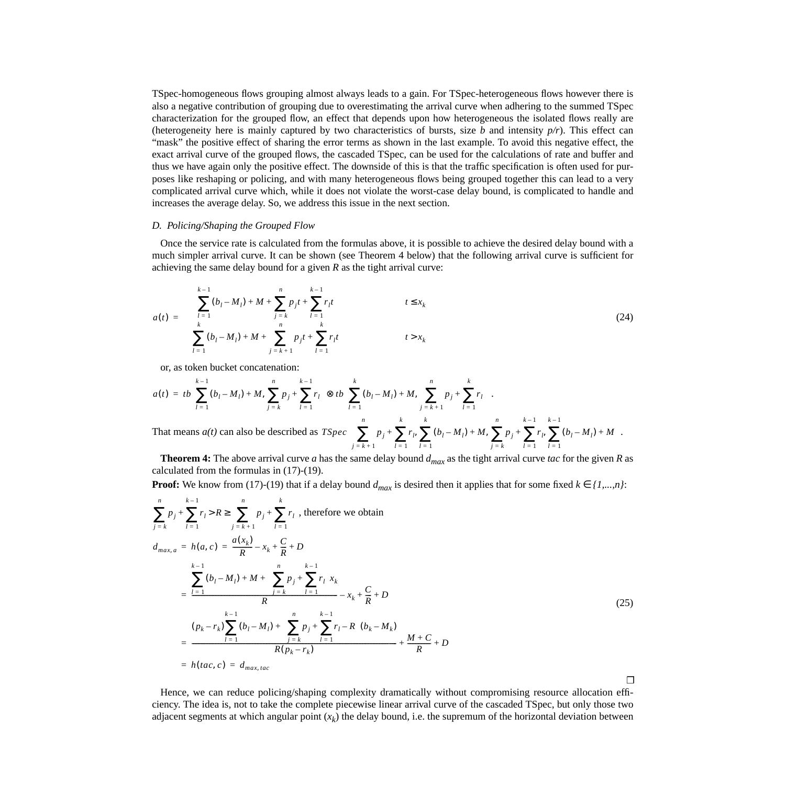<span id="page-10-0"></span>TSpec-homogeneous flows grouping almost always leads to a gain. For TSpec-heterogeneous flows however there is also a negative contribution of grouping due to overestimating the arrival curve when adhering to the summed TSpec characterization for the grouped flow, an effect that depends upon how heterogeneous the isolated flows really are (heterogeneity here is mainly captured by two characteristics of bursts, size *b* and intensity *p/r*). This effect can "mask" the positive effect of sharing the error terms as shown in the last example. To avoid this negative effect, the exact arrival curve of the grouped flows, the cascaded TSpec, can be used for the calculations of rate and buffer and thus we have again only the positive effect. The downside of this is that the traffic specification is often used for purposes like reshaping or policing, and with many heterogeneous flows being grouped together this can lead to a very complicated arrival curve which, while it does not violate the worst-case delay bound, is complicated to handle and increases the average delay. So, we address this issue in the next section.

## *D. Policing/Shaping the Grouped Flow*

 $\epsilon$ 

Once the service rate is calculated from the formulas abov[e,](#page-9-0) it is possible to achieve the desired delay bound with a much simpler arrival curve. It can be shown (see Theorem 4 below) that the following arrival curve is sufficient for achieving the same delay bound for a given *R* as the tight arrival curve:

$$
a(t) = \begin{cases} \sum_{l=1}^{k-1} (b_l - M_l) + M + \sum_{j=k}^{n} p_j t + \sum_{l=1}^{k-1} r_l t & t \leq x_k \\ \sum_{l=1}^{k} (b_l - M_l) + M + \sum_{j=k+1}^{n} p_j t + \sum_{l=1}^{k} r_l t & t > x_k \end{cases}
$$
(24)

or, as token bucket concatenation:

$$
a(t) = tb\left(\sum_{l=1}^{k-1} (b_l - M_l) + M, \sum_{j=k}^{n} p_j + \sum_{l=1}^{k-1} r_l\right) \otimes tb\left(\sum_{l=1}^{k} (b_l - M_l) + M, \sum_{j=k+1}^{n} p_j + \sum_{l=1}^{k} r_l\right).
$$
  
That means  $a(t)$  can also be described as  $TSpec\left(\sum_{j=k+1}^{n} p_j + \sum_{l=1}^{k} r_l, \sum_{l=1}^{k} (b_l - M_l) + M, \sum_{j=k}^{n} p_j + \sum_{l=1}^{k-1} r_l, \sum_{l=1}^{k-1} (b_l - M_l) + M\right).$ 

**Theorem 4:** The above arrival curve *a* has the same delay bound  $d_{max}$  as the tight arrival curve *tac* for the given *R* as calculated from the formulas in ([1](#page-9-0)[7\)-\(19\).](#page-7-0)

**Proof:** We know from ([17\)-\(19\) th](#page-7-0)at if a delay bound  $d_{max}$  is desired then it applies that for some fixed  $k \in \{1,...,n\}$ :

$$
\sum_{j=k}^{n} p_j + \sum_{l=1}^{k-1} r_l > R \ge \sum_{j=k+1}^{n} p_j + \sum_{l=1}^{k} r_l, \text{ therefore we obtain}
$$
\n
$$
d_{max, a} = h(a, c) = \frac{a(x_k)}{R} - x_k + \frac{C}{R} + D
$$
\n
$$
= \frac{\sum_{l=1}^{k-1} (b_l - M_l) + M + \left(\sum_{j=k}^{n} p_j + \sum_{l=1}^{k-1} r_l\right) x_k}{R} - x_k + \frac{C}{R} + D
$$
\n
$$
= \frac{(p_k - r_k) \sum_{l=1}^{k-1} (b_l - M_l) + \left(\sum_{j=k}^{n} p_j + \sum_{l=1}^{k-1} r_l - R\right) (b_k - M_k)}{R(p_k - r_k)} + \frac{M + C}{R} + D
$$
\n
$$
= h(tac, c) = d_{max, tac}
$$
\n(25)

Hence, we can reduce policing/shaping complexity dramatically without compromising resource allocation efficiency. The idea is, not to take the complete piecewise linear arrival curve of the cascaded TSpec, but only those two adjacent segments at which angular point  $(x_k)$  the delay bound, i.e. the supremum of the horizontal deviation between

❒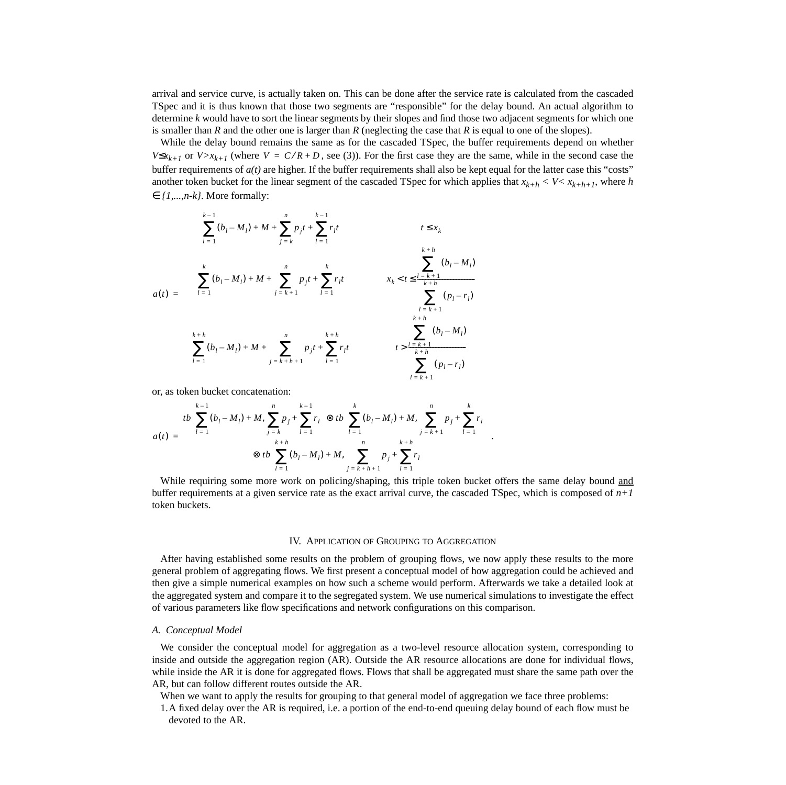arrival and service curve, is actually taken on. This can be done after the service rate is calculated from the cascaded TSpec and it is thus known that those two segments are "responsible" for the delay bound. An actual algorithm to determine *k* would have to sort the linear segments by their slopes and find those two adjacent segments for which one is smaller than *R* and the other one is larger than *R* (neglecting the case that *R* is equal to one of the slopes).

While the delay bound remains the same as for the cascaded TSpec, the buffer requirements depend on whether  $V \le x_{k+1}$  or  $V > x_{k+1}$  (where  $V = C/R + D$ , see [\(3\)](#page-2-0)). For the first case they are the same, while in the second case the buffer requirements of  $a(t)$  are higher. If the buffer requirements shall also be kept equal for the latter case this "costs" another token bucket for the linear segment of the cascaded TSpec for which applies that  $x_{k+h} < V < x_{k+h+1}$ , where *h* ∈ *{1,...,n-k}*. More formally:

$$
a(t) = \begin{cases} \sum_{l=1}^{k-1} (b_l - M_l) + M + \sum_{j=k}^{n} p_j t + \sum_{l=1}^{k-1} r_l t & t \leq x_k \\ \sum_{l=1}^{k} (b_l - M_l) + M + \sum_{j=k+1}^{n} p_j t + \sum_{l=1}^{k} r_l t & x_k < t \leq \frac{l=k+1}{k+h} \\ \sum_{l=k+1}^{k+h} (b_l - M_l) + M + \sum_{j=k+h+1}^{n} p_j t + \sum_{l=1}^{k+h} r_l t & t > \frac{\sum_{l=k+1}^{k+1} (b_l - M_l)}{\sum_{l=k+1}^{k+h} (b_l - M_l)} \\ \sum_{l=1}^{k+h} (b_l - M_l) + M + \sum_{j=k+h+1}^{n} p_j t + \sum_{l=1}^{k+h} r_l t & t > \frac{l=k+1}{k+h} (p_l - r_l) \\ \sum_{l=k+1}^{k+h} (p_l - r_l) & t > \frac{l=k+1}{k+h} (p_l - r_l) \end{cases}
$$

or, as token bucket concatenation:

$$
a(t) = \sum_{l=1}^{tb} \left( \sum_{l=1}^{k-1} (b_l - M_l) + M, \sum_{j=k}^{n} p_j + \sum_{l=1}^{k-1} r_l \right) \otimes tb \left( \sum_{l=1}^{k} (b_l - M_l) + M, \sum_{j=k+1}^{n} p_j + \sum_{l=1}^{k} r_l \right) \cdot \otimes tb \left( \sum_{l=1}^{k+h} (b_l - M_l) + M, \sum_{j=k+h+1}^{n} p_j + \sum_{l=1}^{k+h} r_l \right).
$$

While requiring some more work on policing/shaping, this triple token bucket offers the same delay bound and buffer requirements at a given service rate as the exact arrival curve, the cascaded TSpec, which is composed of  $n+1$ token buckets.

## IV. APPLICATION OF GROUPING TO AGGREGATION

After having established some results on the problem of grouping flows, we now apply these results to the more general problem of aggregating flows. We first present a conceptual model of how aggregation could be achieved and then give a simple numerical examples on how such a scheme would perform. Afterwards we take a detailed look at the aggregated system and compare it to the segregated system. We use numerical simulations to investigate the effect of various parameters like flow specifications and network configurations on this comparison.

#### *A. Conceptual Model*

We consider the conceptual model for aggregation as a two-level resource allocation system, corresponding to inside and outside the aggregation region (AR). Outside the AR resource allocations are done for individual flows, while inside the AR it is done for aggregated flows. Flows that shall be aggregated must share the same path over the AR, but can follow different routes outside the AR.

When we want to apply the results for grouping to that general model of aggregation we face three problems:

1.A fixed delay over the AR is required, i.e. a portion of the end-to-end queuing delay bound of each flow must be devoted to the AR.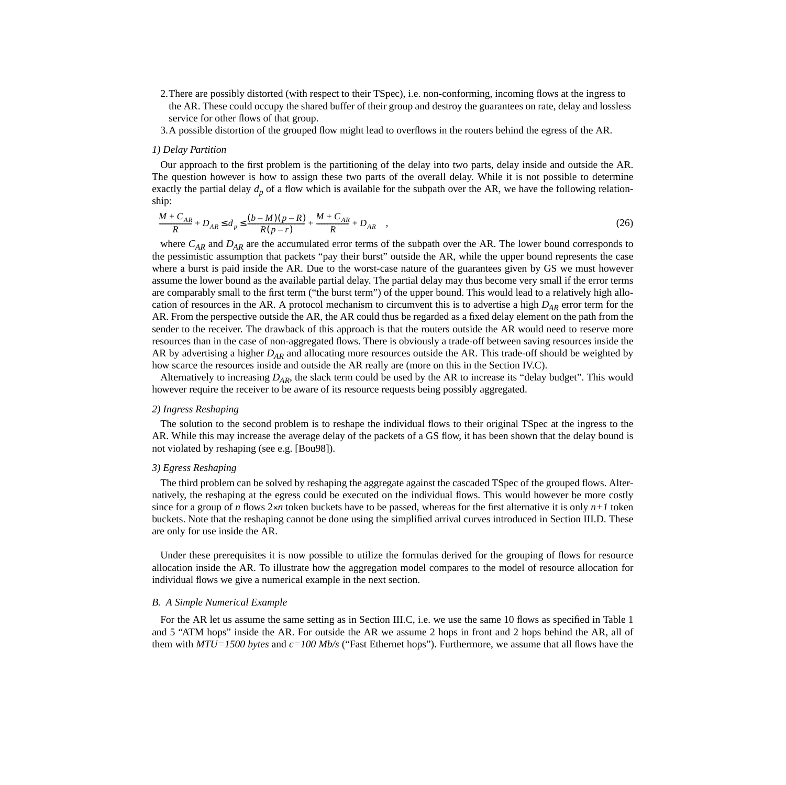- <span id="page-12-0"></span>2.There are possibly distorted (with respect to their TSpec), i.e. non-conforming, incoming flows at the ingress to the AR. These could occupy the shared buffer of their group and destroy the guarantees on rate, delay and lossless service for other flows of that group.
- 3.A possible distortion of the grouped flow might lead to overflows in the routers behind the egress of the AR.

## *1) Delay Partition*

Our approach to the first problem is the partitioning of the delay into two parts, delay inside and outside the AR. The question however is how to assign these two parts of the overall delay. While it is not possible to determine exactly the partial delay  $d_p$  of a flow which is available for the subpath over the AR, we have the following relationship:

$$
\frac{M + C_{AR}}{R} + D_{AR} \le d_p \le \frac{(b - M)(p - R)}{R(p - r)} + \frac{M + C_{AR}}{R} + D_{AR} \quad ,
$$
\n(26)

where  $C_{AR}$  and  $D_{AR}$  are the accumulated error terms of the subpath over the AR. The lower bound corresponds to the pessimistic assumption that packets "pay their burst" outside the AR, while the upper bound represents the case where a burst is paid inside the AR. Due to the worst-case nature of the guarantees given by GS we must however assume the lower bound as the available partial delay. The partial delay may thus become very small if the error terms are comparably small to the first term ("the burst term") of the upper bound. This would lead to a relatively high allocation of resources in the AR. A protocol mechanism to circumvent this is to advertise a high  $D_{AR}$  error term for the AR. From the perspective outside the AR, the AR could thus be regarded as a fixed delay element on the path from the sender to the receiver. The drawback of this approach is that the routers outside the AR would need to reserve more resources than in the case of non-aggregated flows. There is obviously a trade-off between saving resources inside the AR by advertising a higher *DAR* and allocating more resources outside the AR. This trade-off should be weighted by how scarce the resources inside and outside the AR really are (more on this in the Sec[tion IV.C\).](#page-13-0)

Alternatively to increasing  $D_{AR}$ , the slack term could be used by the AR to increase its "delay budget". This would however require the receiver to be aware of its resource requests being possibly aggregated.

#### *2) Ingress Reshaping*

The solution to the second problem is to reshape the individual flows to their original TSpec at the ingress to the AR. While this may increase the average delay of the packets of a GS flow, it has been shown that the delay bound is not violated by reshaping (see e.g. [Bou98]).

## *3) Egress Reshaping*

The third problem can be solved by reshaping the aggregate against the cascaded TSpec of the grouped flows. Alternatively, the reshaping at the egress could be executed on the individual flows. This would however be more costly since for a group of *n* flows  $2 \times n$  token buckets have to be passed, whereas for the first alternative it is only  $n+1$  token buckets. Note that the reshaping cannot be done using the simplified arrival curves introduced in [Section III.D.](#page-10-0) These are only for use inside the AR.

Under these prerequisites it is now possible to utilize the formulas derived for the grouping of flows for resource allocation inside the AR. To illustrate how the aggregation model compares to the model of resource allocation for individual flows we give a numerical example in the next section.

## *B. A Simple Numerical Example*

For the AR let us assume the same setting as in [Section III.C](#page-9-0), i.e. we use the same 10 flows as specified in [Table 1](#page-9-0) and 5 "ATM hops" inside the AR. For outside the AR we assume 2 hops in front and 2 hops behind the AR, all of them with *MTU=1500 bytes* and *c=100 Mb/s* ("Fast Ethernet hops"). Furthermore, we assume that all flows have the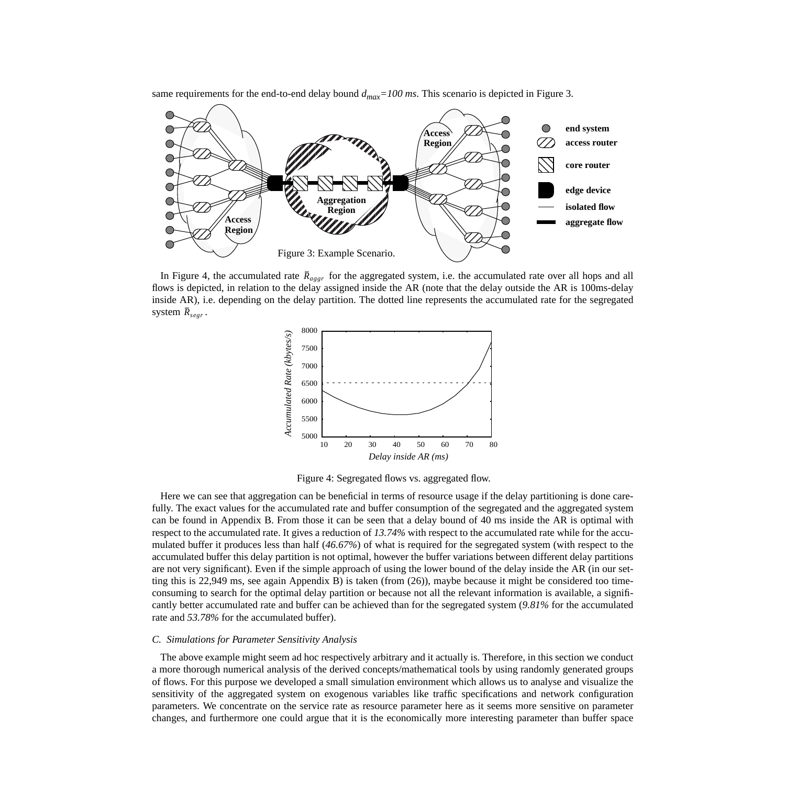<span id="page-13-0"></span>same requirements for the end-to-end delay bound  $d_{max}=100$  ms. This scenario is depicted in Figure 3.



In Figure 4, the accumulated rate  $\bar{R}_{agsr}$  for the aggregated system, i.e. the accumulated rate over all hops and all flows is depicted, in relation to the delay assigned inside the AR (note that the delay outside the AR is 100ms-delay inside AR), i.e. depending on the delay partition. The dotted line represents the accumulated rate for the segregated system  $\bar{R}_{segr}$ .



Figure 4: Segregated flows vs. aggregated flow.

Here we can see that aggregation can be beneficial in terms of resource usage if the delay partitioning is done carefully. The exact values for the accumulated rate and buffer consumption of the segregated and the aggregated system can be found in Appendix B. From those it can be seen that a delay bound of 40 ms inside the AR is optimal with respect to the accumulated rate. It gives a reduction of *13.74%* with respect to the accumulated rate while for the accumulated buffer it produces less than half (*46.67%*) of what is required for the segregated system (with respect to the accumulated buffer this delay partition is not optimal, however the buffer variations between different delay partitions are not very significant). Even if the simple approach of using the lower bound of the delay inside the AR (in our setting this is 22,949 ms, see again Appendix B) is taken (from [\(26\)](#page-12-0)), maybe because it might be considered too timeconsuming to search for the optimal delay partition or because not all the relevant information is available, a significantly better accumulated rate and buffer can be achieved than for the segregated system (*9.81%* for the accumulated rate and *53.78%* for the accumulated buffer).

#### *C. Simulations for Parameter Sensitivity Analysis*

The above example might seem ad hoc respectively arbitrary and it actually is. Therefore, in this section we conduct a more thorough numerical analysis of the derived concepts/mathematical tools by using randomly generated groups of flows. For this purpose we developed a small simulation environment which allows us to analyse and visualize the sensitivity of the aggregated system on exogenous variables like traffic specifications and network configuration parameters. We concentrate on the service rate as resource parameter here as it seems more sensitive on parameter changes, and furthermore one could argue that it is the economically more interesting parameter than buffer space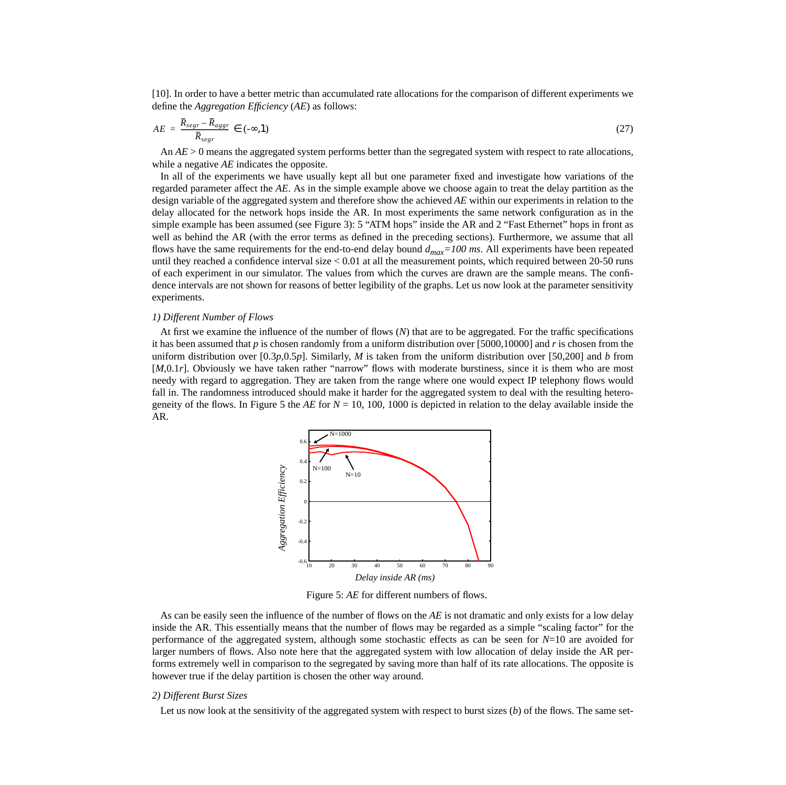[10]. In order to have a better metric than accumulated rate allocations for the comparison of different experiments we define the *Aggregation Efficiency* (*AE*) as follows:

$$
AE = \frac{\overline{R}_{segr} - \overline{R}_{aggr}}{\overline{R}_{segr}} \in (-\infty, 1)
$$
\n(27)

An  $AE > 0$  means the aggregated system performs better than the segregated system with respect to rate allocations, while a negative *AE* indicates the opposite.

In all of the experiments we have usually kept all but one parameter fixed and investigate how variations of the regarded parameter affect the *AE*. As in the simple example above we choose again to treat the delay partition as the design variable of the aggregated system and therefore show the achieved *AE* within our experiments in relation to the delay allocated for the network hops inside the AR. In most experiments the same network configuration as in the simple example has been assumed (see [Figure 3](#page-13-0)): 5 "ATM hops" inside the AR and 2 "Fast Ethernet" hops in front as well as behind the AR (with the error terms as defined in the preceding sections). Furthermore, we assume that all flows have the same requirements for the end-to-end delay bound *dmax=100 ms*. All experiments have been repeated until they reached a confidence interval size  $< 0.01$  at all the measurement points, which required between 20-50 runs of each experiment in our simulator. The values from which the curves are drawn are the sample means. The confidence intervals are not shown for reasons of better legibility of the graphs. Let us now look at the parameter sensitivity experiments.

## *1) Different Number of Flows*

At first we examine the influence of the number of flows (*N*) that are to be aggregated. For the traffic specifications it has been assumed that *p* is chosen randomly from a uniform distribution over [5000,10000] and *r* is chosen from the uniform distribution over [0.3*p*,0.5*p*]. Similarly, *M* is taken from the uniform distribution over [50,200] and *b* from [*M*,0.1*r*]. Obviously we have taken rather "narrow" flows with moderate burstiness, since it is them who are most needy with regard to aggregation. They are taken from the range where one would expect IP telephony flows would fall in. The randomness introduced should make it harder for the aggregated system to deal with the resulting heterogeneity of the flows. In Figure 5 the  $AE$  for  $N = 10$ , 100, 1000 is depicted in relation to the delay available inside the AR.



Figure 5: *AE* for different numbers of flows.

As can be easily seen the influence of the number of flows on the *AE* is not dramatic and only exists for a low delay inside the AR. This essentially means that the number of flows may be regarded as a simple "scaling factor" for the performance of the aggregated system, although some stochastic effects as can be seen for *N*=10 are avoided for larger numbers of flows. Also note here that the aggregated system with low allocation of delay inside the AR performs extremely well in comparison to the segregated by saving more than half of its rate allocations. The opposite is however true if the delay partition is chosen the other way around.

## *2) Different Burst Sizes*

Let us now look at the sensitivity of the aggregated system with respect to burst sizes (*b*) of the flows. The same set-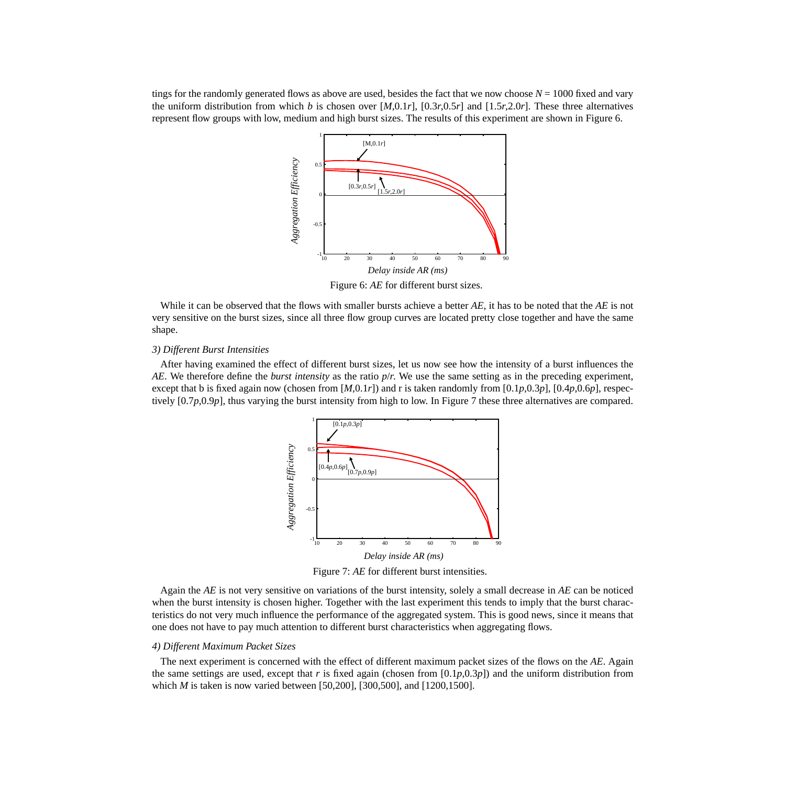tings for the randomly generated flows as above are used, besides the fact that we now choose  $N = 1000$  fixed and vary the uniform distribution from which *b* is chosen over  $[M,0.1r]$ ,  $[0.3r,0.5r]$  and  $[1.5r,2.0r]$ . These three alternatives represent flow groups with low, medium and high burst sizes. The results of this experiment are shown in Figure 6.



Figure 6: *AE* for different burst sizes.

While it can be observed that the flows with smaller bursts achieve a better *AE*, it has to be noted that the *AE* is not very sensitive on the burst sizes, since all three flow group curves are located pretty close together and have the same shape.

## *3) Different Burst Intensities*

After having examined the effect of different burst sizes, let us now see how the intensity of a burst influences the *AE*. We therefore define the *burst intensity* as the ratio *p*/*r*. We use the same setting as in the preceding experiment, except that b is fixed again now (chosen from  $[M,0.1r]$ ) and r is taken randomly from  $[0.1p,0.3p]$ ,  $[0.4p,0.6p]$ , respectively [0.7*p*,0.9*p*], thus varying the burst intensity from high to low. In Figure 7 these three alternatives are compared.



Figure 7: *AE* for different burst intensities.

Again the *AE* is not very sensitive on variations of the burst intensity, solely a small decrease in *AE* can be noticed when the burst intensity is chosen higher. Together with the last experiment this tends to imply that the burst characteristics do not very much influence the performance of the aggregated system. This is good news, since it means that one does not have to pay much attention to different burst characteristics when aggregating flows.

## *4) Different Maximum Packet Sizes*

The next experiment is concerned with the effect of different maximum packet sizes of the flows on the *AE*. Again the same settings are used, except that *r* is fixed again (chosen from  $[0.1p,0.3p]$ ) and the uniform distribution from which *M* is taken is now varied between [50,200], [300,500], and [1200,1500].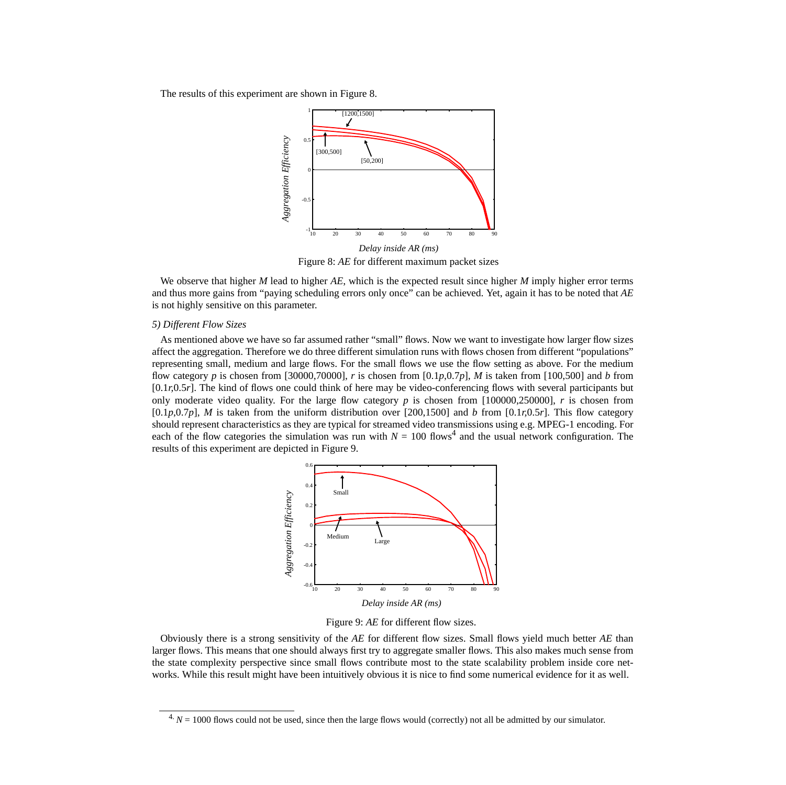The results of this experiment are shown in Figure 8.



Figure 8: *AE* for different maximum packet sizes

We observe that higher *M* lead to higher *AE*, which is the expected result since higher *M* imply higher error terms and thus more gains from "paying scheduling errors only once" can be achieved. Yet, again it has to be noted that *AE* is not highly sensitive on this parameter.

## *5) Different Flow Sizes*

As mentioned above we have so far assumed rather "small" flows. Now we want to investigate how larger flow sizes affect the aggregation. Therefore we do three different simulation runs with flows chosen from different "populations" representing small, medium and large flows. For the small flows we use the flow setting as above. For the medium flow category *p* is chosen from [30000,70000], *r* is chosen from [0.1*p*,0.7*p*], *M* is taken from [100,500] and *b* from [0.1*r,*0.5*r*]. The kind of flows one could think of here may be video-conferencing flows with several participants but only moderate video quality. For the large flow category  $p$  is chosen from [100000,250000],  $r$  is chosen from [0.1*p*,0.7*p*], *M* is taken from the uniform distribution over [200,1500] and *b* from [0.1*r*,0.5*r*]. This flow category should represent characteristics as they are typical for streamed video transmissions using e.g. MPEG-1 encoding. For each of the flow categories the simulation was run with  $N = 100$  flows<sup>4</sup> and the usual network configuration. The results of this experiment are depicted in Figure 9.



*Delay inside AR (ms)*

Figure 9: *AE* for different flow sizes.

Obviously there is a strong sensitivity of the *AE* for different flow sizes. Small flows yield much better *AE* than larger flows. This means that one should always first try to aggregate smaller flows. This also makes much sense from the state complexity perspective since small flows contribute most to the state scalability problem inside core networks. While this result might have been intuitively obvious it is nice to find some numerical evidence for it as well.

 $4 \cdot N = 1000$  flows could not be used, since then the large flows would (correctly) not all be admitted by our simulator.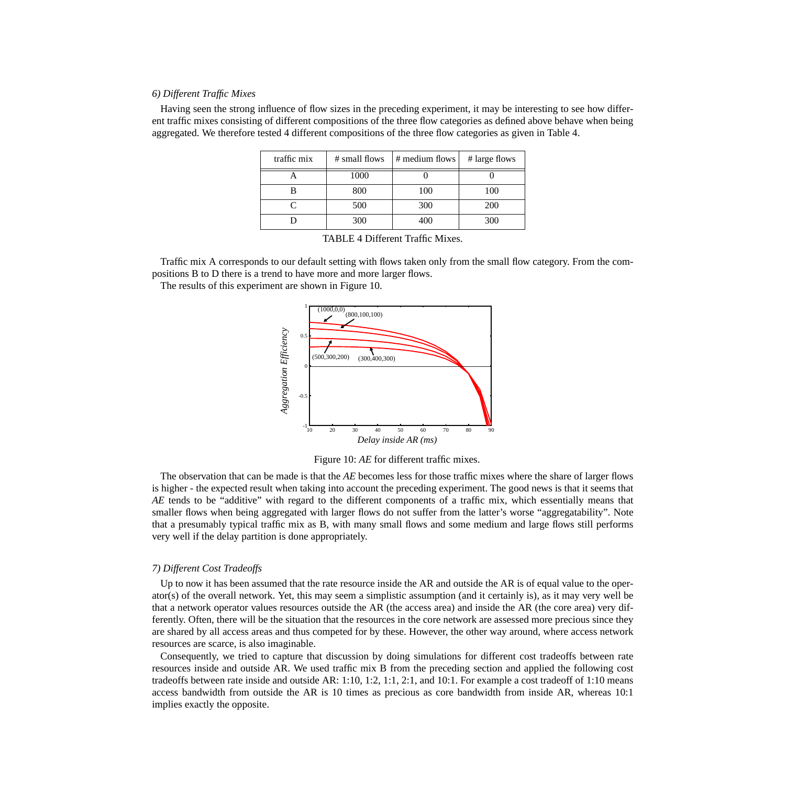## *6) Different Traffic Mixes*

Having seen the strong influence of flow sizes in the preceding experiment, it may be interesting to see how different traffic mixes consisting of different compositions of the three flow categories as defined above behave when being aggregated. We therefore tested 4 different compositions of the three flow categories as given in Table 4.

| traffic mix | # small flows | $\#$ medium flows $\parallel$ | # large flows |
|-------------|---------------|-------------------------------|---------------|
|             | 1000          |                               |               |
|             | 800           | 100                           | 100           |
|             | 500           | 300                           | 200           |
|             | 300           |                               | 300           |

TABLE 4 Different Traffic Mixes.

Traffic mix A corresponds to our default setting with flows taken only from the small flow category. From the compositions B to D there is a trend to have more and more larger flows.

The results of this experiment are shown in Figure 10.



Figure 10: *AE* for different traffic mixes.

The observation that can be made is that the *AE* becomes less for those traffic mixes where the share of larger flows is higher - the expected result when taking into account the preceding experiment. The good news is that it seems that *AE* tends to be "additive" with regard to the different components of a traffic mix, which essentially means that smaller flows when being aggregated with larger flows do not suffer from the latter's worse "aggregatability". Note that a presumably typical traffic mix as B, with many small flows and some medium and large flows still performs very well if the delay partition is done appropriately.

## *7) Different Cost Tradeoffs*

Up to now it has been assumed that the rate resource inside the AR and outside the AR is of equal value to the operator(s) of the overall network. Yet, this may seem a simplistic assumption (and it certainly is), as it may very well be that a network operator values resources outside the AR (the access area) and inside the AR (the core area) very differently. Often, there will be the situation that the resources in the core network are assessed more precious since they are shared by all access areas and thus competed for by these. However, the other way around, where access network resources are scarce, is also imaginable.

Consequently, we tried to capture that discussion by doing simulations for different cost tradeoffs between rate resources inside and outside AR. We used traffic mix B from the preceding section and applied the following cost tradeoffs between rate inside and outside AR: 1:10, 1:2, 1:1, 2:1, and 10:1. For example a cost tradeoff of 1:10 means access bandwidth from outside the AR is 10 times as precious as core bandwidth from inside AR, whereas 10:1 implies exactly the opposite.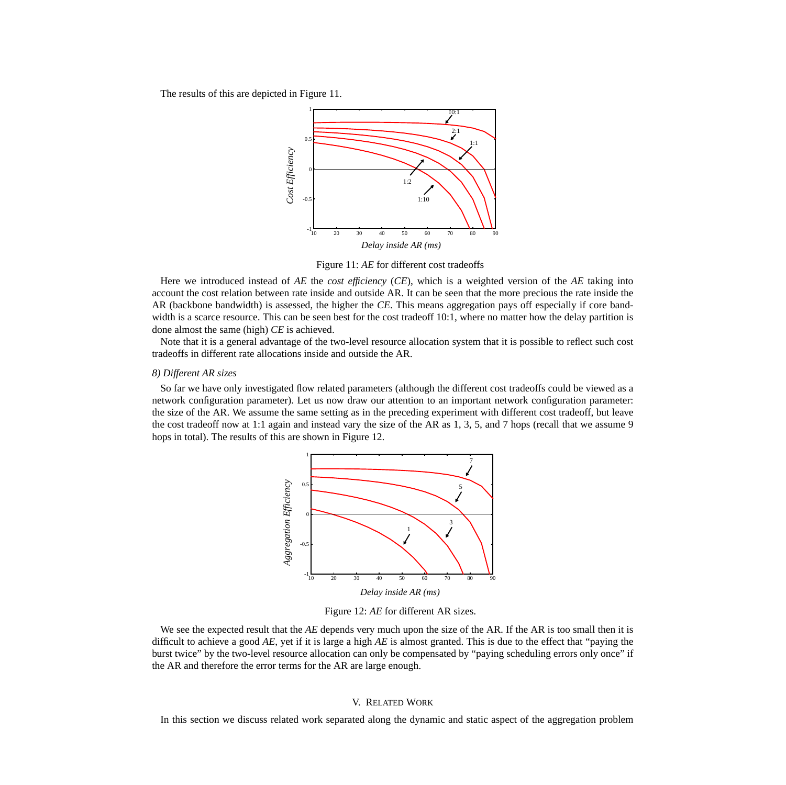The results of this are depicted in Figure 11.



Figure 11: *AE* for different cost tradeoffs

Here we introduced instead of *AE* the *cost efficiency* (*CE*), which is a weighted version of the *AE* taking into account the cost relation between rate inside and outside AR. It can be seen that the more precious the rate inside the AR (backbone bandwidth) is assessed, the higher the *CE*. This means aggregation pays off especially if core bandwidth is a scarce resource. This can be seen best for the cost tradeoff 10:1, where no matter how the delay partition is done almost the same (high) *CE* is achieved.

Note that it is a general advantage of the two-level resource allocation system that it is possible to reflect such cost tradeoffs in different rate allocations inside and outside the AR.

## *8) Different AR sizes*

So far we have only investigated flow related parameters (although the different cost tradeoffs could be viewed as a network configuration parameter). Let us now draw our attention to an important network configuration parameter: the size of the AR. We assume the same setting as in the preceding experiment with different cost tradeoff, but leave the cost tradeoff now at 1:1 again and instead vary the size of the AR as 1, 3, 5, and 7 hops (recall that we assume 9 hops in total). The results of this are shown in Figure 12.



Figure 12: *AE* for different AR sizes.

We see the expected result that the *AE* depends very much upon the size of the AR. If the AR is too small then it is difficult to achieve a good *AE*, yet if it is large a high *AE* is almost granted. This is due to the effect that "paying the burst twice" by the two-level resource allocation can only be compensated by "paying scheduling errors only once" if the AR and therefore the error terms for the AR are large enough.

## V. RELATED WORK

In this section we discuss related work separated along the dynamic and static aspect of the aggregation problem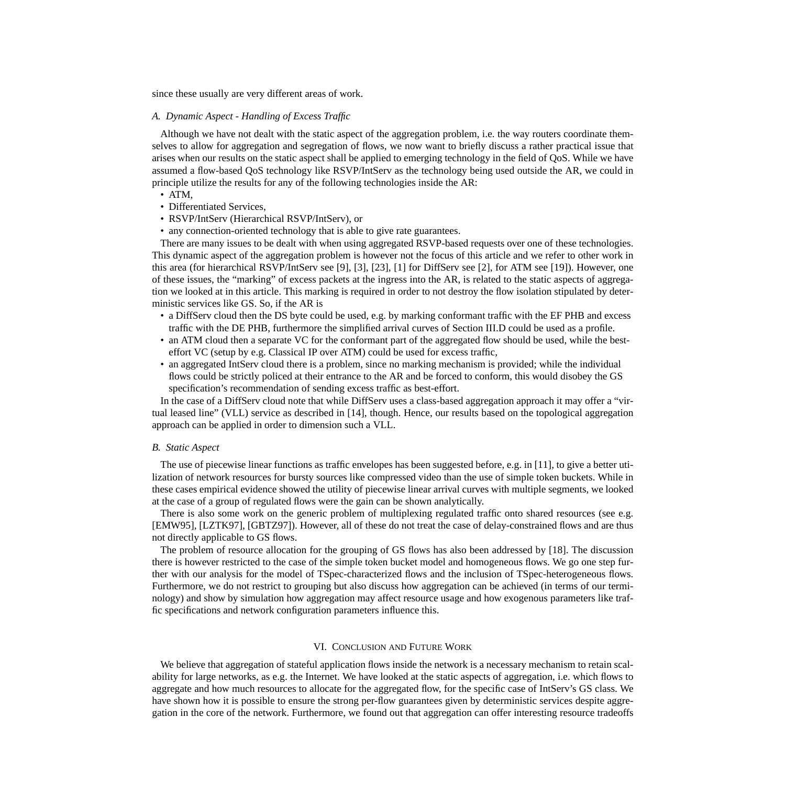since these usually are very different areas of work.

## *A. Dynamic Aspect - Handling of Excess Traffic*

Although we have not dealt with the static aspect of the aggregation problem, i.e. the way routers coordinate themselves to allow for aggregation and segregation of flows, we now want to briefly discuss a rather practical issue that arises when our results on the static aspect shall be applied to emerging technology in the field of QoS. While we have assumed a flow-based QoS technology like RSVP/IntServ as the technology being used outside the AR, we could in principle utilize the results for any of the following technologies inside the AR:

- ATM,
- Differentiated Services,
- RSVP/IntServ (Hierarchical RSVP/IntServ), or
- any connection-oriented technology that is able to give rate guarantees.

There are many issues to be dealt with when using aggregated RSVP-based requests over one of these technologies. This dynamic aspect of the aggregation problem is however not the focus of this article and we refer to other work in this area (for hierarchical RSVP/IntServ see [9], [3], [23], [1] for DiffServ see [2], for ATM see [19]). However, one of these issues, the "marking" of excess packets at the ingress into the AR, is related to the static aspects of aggregation we looked at in this article. This marking is required in order to not destroy the flow isolation stipulated by deterministic services like GS. So, if the AR is

- a DiffServ cloud then the DS byte could be used, e.g. by marking conformant traffic with the EF PHB and excess traffic with the DE PHB, furthermore the simplified arrival curves of Se[ction III.D cou](#page-10-0)ld be used as a profile.
- an ATM cloud then a separate VC for the conformant part of the aggregated flow should be used, while the besteffort VC (setup by e.g. Classical IP over ATM) could be used for excess traffic,
- an aggregated IntServ cloud there is a problem, since no marking mechanism is provided; while the individual flows could be strictly policed at their entrance to the AR and be forced to conform, this would disobey the GS specification's recommendation of sending excess traffic as best-effort.

In the case of a DiffServ cloud note that while DiffServ uses a class-based aggregation approach it may offer a "virtual leased line" (VLL) service as described in [14], though. Hence, our results based on the topological aggregation approach can be applied in order to dimension such a VLL.

## *B. Static Aspect*

The use of piecewise linear functions as traffic envelopes has been suggested before, e.g. in [11], to give a better utilization of network resources for bursty sources like compressed video than the use of simple token buckets. While in these cases empirical evidence showed the utility of piecewise linear arrival curves with multiple segments, we looked at the case of a group of regulated flows were the gain can be shown analytically.

There is also some work on the generic problem of multiplexing regulated traffic onto shared resources (see e.g. [EMW95], [LZTK97], [GBTZ97]). However, all of these do not treat the case of delay-constrained flows and are thus not directly applicable to GS flows.

The problem of resource allocation for the grouping of GS flows has also been addressed by [18]. The discussion there is however restricted to the case of the simple token bucket model and homogeneous flows. We go one step further with our analysis for the model of TSpec-characterized flows and the inclusion of TSpec-heterogeneous flows. Furthermore, we do not restrict to grouping but also discuss how aggregation can be achieved (in terms of our terminology) and show by simulation how aggregation may affect resource usage and how exogenous parameters like traffic specifications and network configuration parameters influence this.

#### VI. CONCLUSION AND FUTURE WORK

We believe that aggregation of stateful application flows inside the network is a necessary mechanism to retain scalability for large networks, as e.g. the Internet. We have looked at the static aspects of aggregation, i.e. which flows to aggregate and how much resources to allocate for the aggregated flow, for the specific case of IntServ's GS class. We have shown how it is possible to ensure the strong per-flow guarantees given by deterministic services despite aggregation in the core of the network. Furthermore, we found out that aggregation can offer interesting resource tradeoffs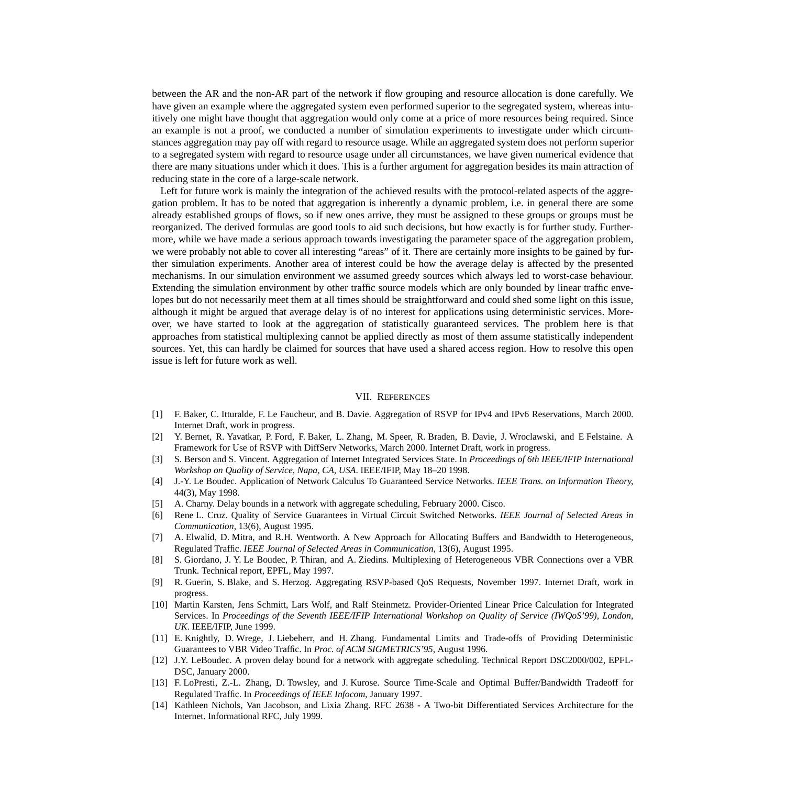between the AR and the non-AR part of the network if flow grouping and resource allocation is done carefully. We have given an example where the aggregated system even performed superior to the segregated system, whereas intuitively one might have thought that aggregation would only come at a price of more resources being required. Since an example is not a proof, we conducted a number of simulation experiments to investigate under which circumstances aggregation may pay off with regard to resource usage. While an aggregated system does not perform superior to a segregated system with regard to resource usage under all circumstances, we have given numerical evidence that there are many situations under which it does. This is a further argument for aggregation besides its main attraction of reducing state in the core of a large-scale network.

Left for future work is mainly the integration of the achieved results with the protocol-related aspects of the aggregation problem. It has to be noted that aggregation is inherently a dynamic problem, i.e. in general there are some already established groups of flows, so if new ones arrive, they must be assigned to these groups or groups must be reorganized. The derived formulas are good tools to aid such decisions, but how exactly is for further study. Furthermore, while we have made a serious approach towards investigating the parameter space of the aggregation problem, we were probably not able to cover all interesting "areas" of it. There are certainly more insights to be gained by further simulation experiments. Another area of interest could be how the average delay is affected by the presented mechanisms. In our simulation environment we assumed greedy sources which always led to worst-case behaviour. Extending the simulation environment by other traffic source models which are only bounded by linear traffic envelopes but do not necessarily meet them at all times should be straightforward and could shed some light on this issue, although it might be argued that average delay is of no interest for applications using deterministic services. Moreover, we have started to look at the aggregation of statistically guaranteed services. The problem here is that approaches from statistical multiplexing cannot be applied directly as most of them assume statistically independent sources. Yet, this can hardly be claimed for sources that have used a shared access region. How to resolve this open issue is left for future work as well.

#### VII. REFERENCES

- [1] F. Baker, C. Itturalde, F. Le Faucheur, and B. Davie. Aggregation of RSVP for IPv4 and IPv6 Reservations, March 2000. Internet Draft, work in progress.
- [2] Y. Bernet, R. Yavatkar, P. Ford, F. Baker, L. Zhang, M. Speer, R. Braden, B. Davie, J. Wroclawski, and E Felstaine. A Framework for Use of RSVP with DiffServ Networks, March 2000. Internet Draft, work in progress.
- [3] S. Berson and S. Vincent. Aggregation of Internet Integrated Services State. In *Proceedings of 6th IEEE/IFIP International Workshop on Quality of Service, Napa, CA, USA*. IEEE/IFIP, May 18–20 1998.
- [4] J.-Y. Le Boudec. Application of Network Calculus To Guaranteed Service Networks. *IEEE Trans. on Information Theory*, 44(3), May 1998.
- [5] A. Charny. Delay bounds in a network with aggregate scheduling, February 2000. Cisco.
- [6] Rene L. Cruz. Quality of Service Guarantees in Virtual Circuit Switched Networks. *IEEE Journal of Selected Areas in Communication*, 13(6), August 1995.
- [7] A. Elwalid, D. Mitra, and R.H. Wentworth. A New Approach for Allocating Buffers and Bandwidth to Heterogeneous, Regulated Traffic. *IEEE Journal of Selected Areas in Communication*, 13(6), August 1995.
- [8] S. Giordano, J. Y. Le Boudec, P. Thiran, and A. Ziedins. Multiplexing of Heterogeneous VBR Connections over a VBR Trunk. Technical report, EPFL, May 1997.
- [9] R. Guerin, S. Blake, and S. Herzog. Aggregating RSVP-based QoS Requests, November 1997. Internet Draft, work in progress.
- [10] Martin Karsten, Jens Schmitt, Lars Wolf, and Ralf Steinmetz. Provider-Oriented Linear Price Calculation for Integrated Services. In *Proceedings of the Seventh IEEE/IFIP International Workshop on Quality of Service (IWQoS'99), London, UK*. IEEE/IFIP, June 1999.
- [11] E. Knightly, D. Wrege, J. Liebeherr, and H. Zhang. Fundamental Limits and Trade-offs of Providing Deterministic Guarantees to VBR Video Traffic. In *Proc. of ACM SIGMETRICS'95*, August 1996.
- [12] J.Y. LeBoudec. A proven delay bound for a network with aggregate scheduling. Technical Report DSC2000/002, EPFL-DSC, January 2000.
- [13] F. LoPresti, Z.-L. Zhang, D. Towsley, and J. Kurose. Source Time-Scale and Optimal Buffer/Bandwidth Tradeoff for Regulated Traffic. In *Proceedings of IEEE Infocom*, January 1997.
- [14] Kathleen Nichols, Van Jacobson, and Lixia Zhang. RFC 2638 A Two-bit Differentiated Services Architecture for the Internet. Informational RFC, July 1999.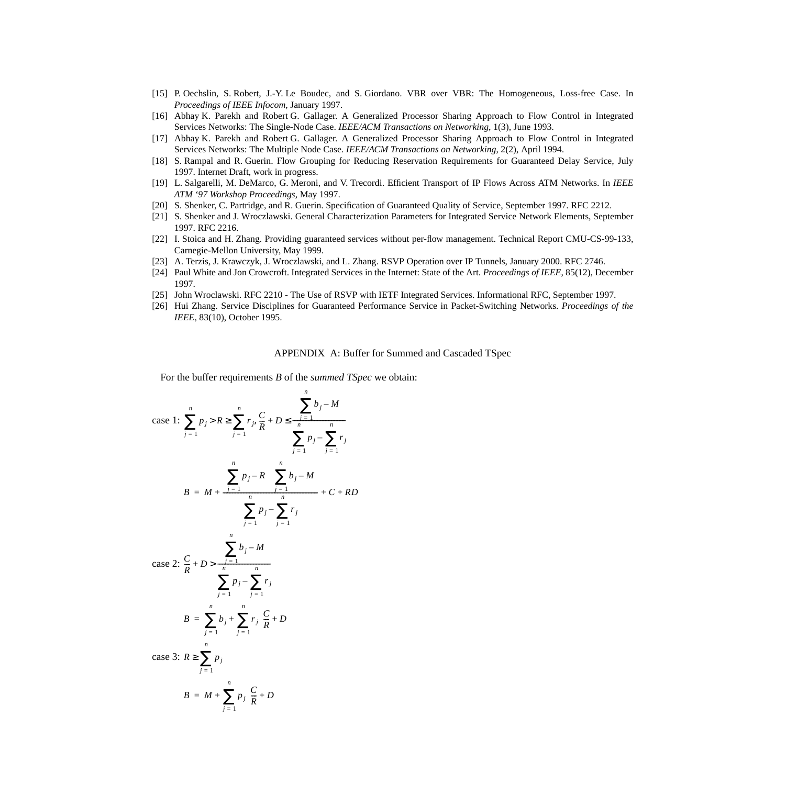- [15] P. Oechslin, S. Robert, J.-Y. Le Boudec, and S. Giordano. VBR over VBR: The Homogeneous, Loss-free Case. In *Proceedings of IEEE Infocom*, January 1997.
- [16] Abhay K. Parekh and Robert G. Gallager. A Generalized Processor Sharing Approach to Flow Control in Integrated Services Networks: The Single-Node Case. *IEEE/ACM Transactions on Networking*, 1(3), June 1993.
- [17] Abhay K. Parekh and Robert G. Gallager. A Generalized Processor Sharing Approach to Flow Control in Integrated Services Networks: The Multiple Node Case. *IEEE/ACM Transactions on Networking*, 2(2), April 1994.
- [18] S. Rampal and R. Guerin. Flow Grouping for Reducing Reservation Requirements for Guaranteed Delay Service, July 1997. Internet Draft, work in progress.
- [19] L. Salgarelli, M. DeMarco, G. Meroni, and V. Trecordi. Efficient Transport of IP Flows Across ATM Networks. In *IEEE ATM '97 Workshop Proceedings*, May 1997.
- [20] S. Shenker, C. Partridge, and R. Guerin. Specification of Guaranteed Quality of Service, September 1997. RFC 2212.
- [21] S. Shenker and J. Wroczlawski. General Characterization Parameters for Integrated Service Network Elements, September 1997. RFC 2216.
- [22] I. Stoica and H. Zhang. Providing guaranteed services without per-flow management. Technical Report CMU-CS-99-133, Carnegie-Mellon University, May 1999.
- [23] A. Terzis, J. Krawczyk, J. Wroczlawski, and L. Zhang. RSVP Operation over IP Tunnels, January 2000. RFC 2746.
- [24] Paul White and Jon Crowcroft. Integrated Services in the Internet: State of the Art. *Proceedings of IEEE*, 85(12), December 1997.
- [25] John Wroclawski. RFC 2210 The Use of RSVP with IETF Integrated Services. Informational RFC, September 1997.
- [26] Hui Zhang. Service Disciplines for Guaranteed Performance Service in Packet-Switching Networks. *Proceedings of the IEEE*, 83(10), October 1995.

#### APPENDIX A: Buffer for Summed and Cascaded TSpec

For the buffer requirements *B* of the *summed TSpec* we obtain:

case 1: 
$$
\sum_{j=1}^{n} p_{j} > R \geq \sum_{j=1}^{n} r_{j} \frac{C}{R} + D \leq \frac{\sum_{j=1}^{n} b_{j} - M}{\sum_{j=1}^{n} p_{j} - \sum_{j=1}^{n} r_{j}}
$$
  
\n
$$
B = M + \frac{\left(\sum_{j=1}^{n} p_{j} - R\right)\left(\sum_{j=1}^{n} b_{j} - M\right)}{\sum_{j=1}^{n} p_{j} - \sum_{j=1}^{n} r_{j}} + C + RD
$$
  
\ncase 2: 
$$
\frac{C}{R} + D > \frac{\sum_{j=1}^{n} b_{j} - M}{\sum_{j=1}^{n} p_{j} - \sum_{j=1}^{n} r_{j}}
$$
  
\n
$$
B = \sum_{j=1}^{n} b_{j} + \sum_{j=1}^{n} r_{j} \left(\frac{C}{R} + D\right)
$$
  
\ncase 3: 
$$
R \geq \sum_{j=1}^{n} p_{j}
$$
  
\n
$$
B = M + \sum_{j=1}^{n} p_{j} \left(\frac{C}{R} + D\right)
$$

$$
I + \sum_{j=1} P_j \big(\overline{R}
$$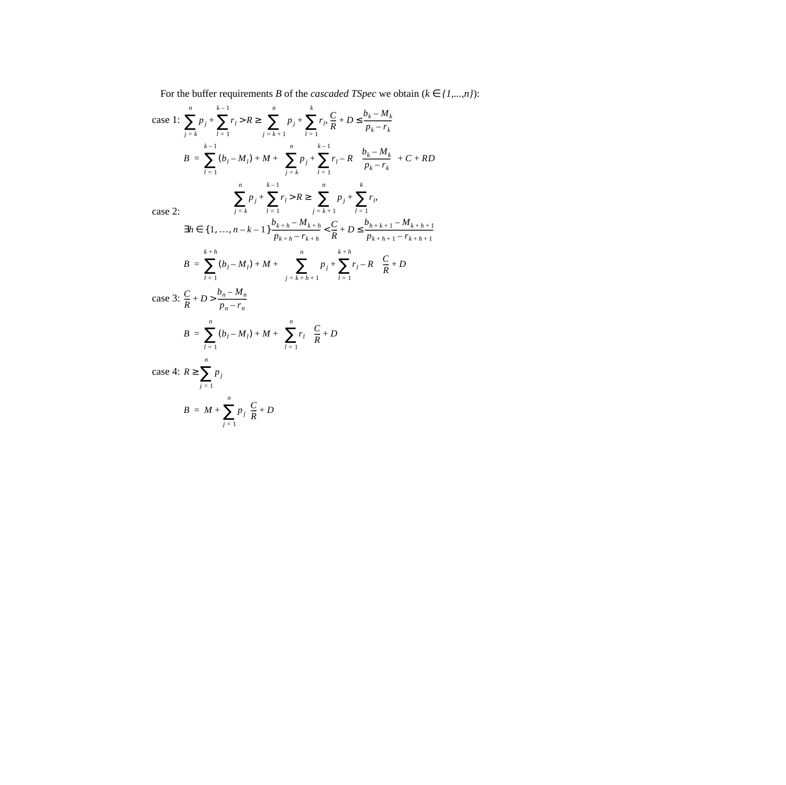For the buffer requirements *B* of the *cascaded TSpec* we obtain ( $k \in \{1,...,n\}$ ):

case 1: 
$$
\sum_{j=k}^{n} p_j + \sum_{l=1}^{k-1} r_l > R \ge \sum_{j=k+1}^{n} p_j + \sum_{l=1}^{k} r_l, \frac{C}{R} + D \le \frac{b_k - M_k}{p_k - r_k}
$$
\n
$$
B = \sum_{l=1}^{k-1} (b_l - M_l) + M + \left( \sum_{j=k}^{n} p_j + \sum_{l=1}^{k-1} r_l - R \right) \left( \frac{b_k - M_k}{p_k - r_k} \right) + C + RD
$$
\n
$$
\sum_{j=k}^{n} p_j + \sum_{l=1}^{k-1} r_l > R \ge \sum_{j=k+1}^{n} p_j + \sum_{l=1}^{k} r_l,
$$
\n
$$
\exists h \in \{1, \dots, n-k-1\} \frac{b_{k+h} - M_{k+h}}{p_{k+h} - r_{k+h}} < \frac{C}{R} + D \le \frac{b_{h+k+1} - M_{k+h+1}}{p_{k+h+1} - r_{k+h+1}}
$$

$$
B = \sum_{l=1}^{k+h} (b_l - M_l) + M + \left( \sum_{j=k+h+1}^{n} p_j + \sum_{l=1}^{k+h} r_l - R \right) \left( \frac{C}{R} + D \right)
$$

case 3:  $\frac{C}{R}$  $\frac{C}{R}$  + *D* >  $\frac{b_n - M_n}{p_n - r_n}$ 

$$
B = \sum_{l=1}^{n} (b_l - M_l) + M + \left(\sum_{l=1}^{n} r_l\right) \left(\frac{C}{R} + D\right)
$$

case 4:  $R \geq \sum p_j$ *j* = 1 <sup>≥</sup> ∑

$$
B = M + \sum_{j=1}^{n} p_j \left( \frac{C}{R} + D \right)
$$